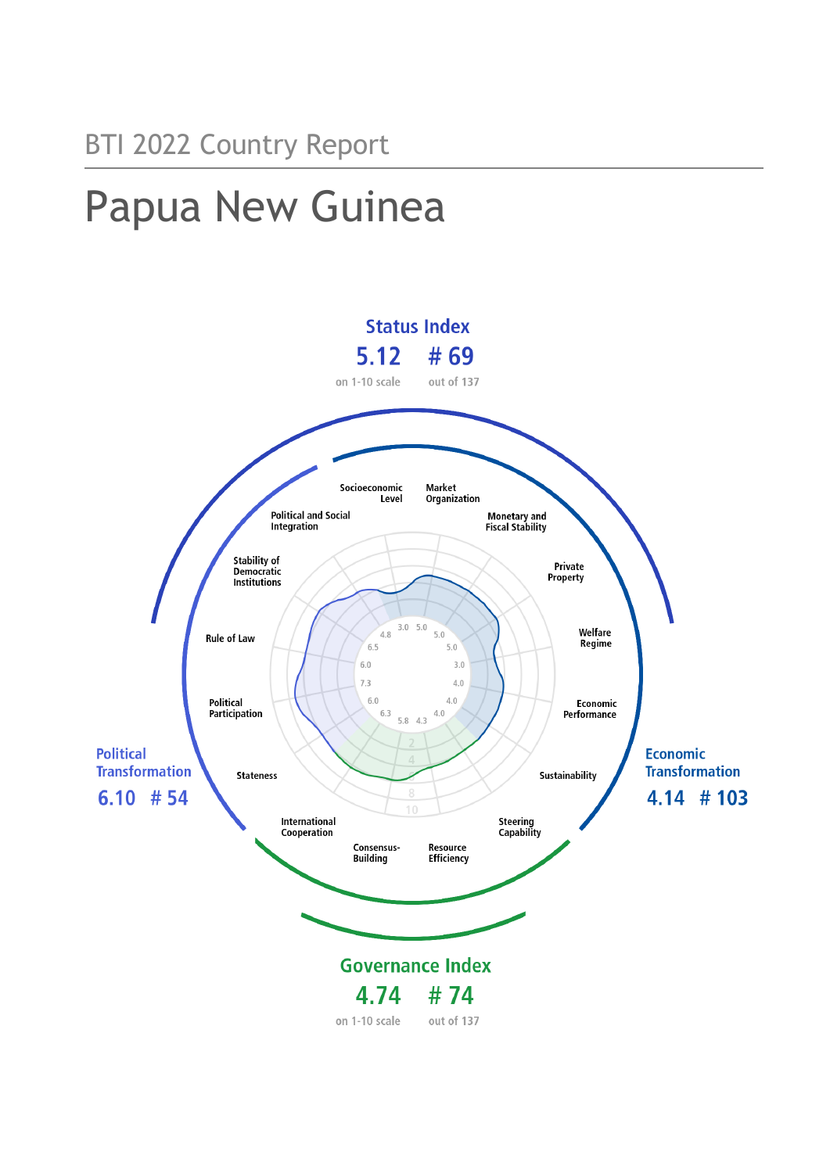# Papua New Guinea

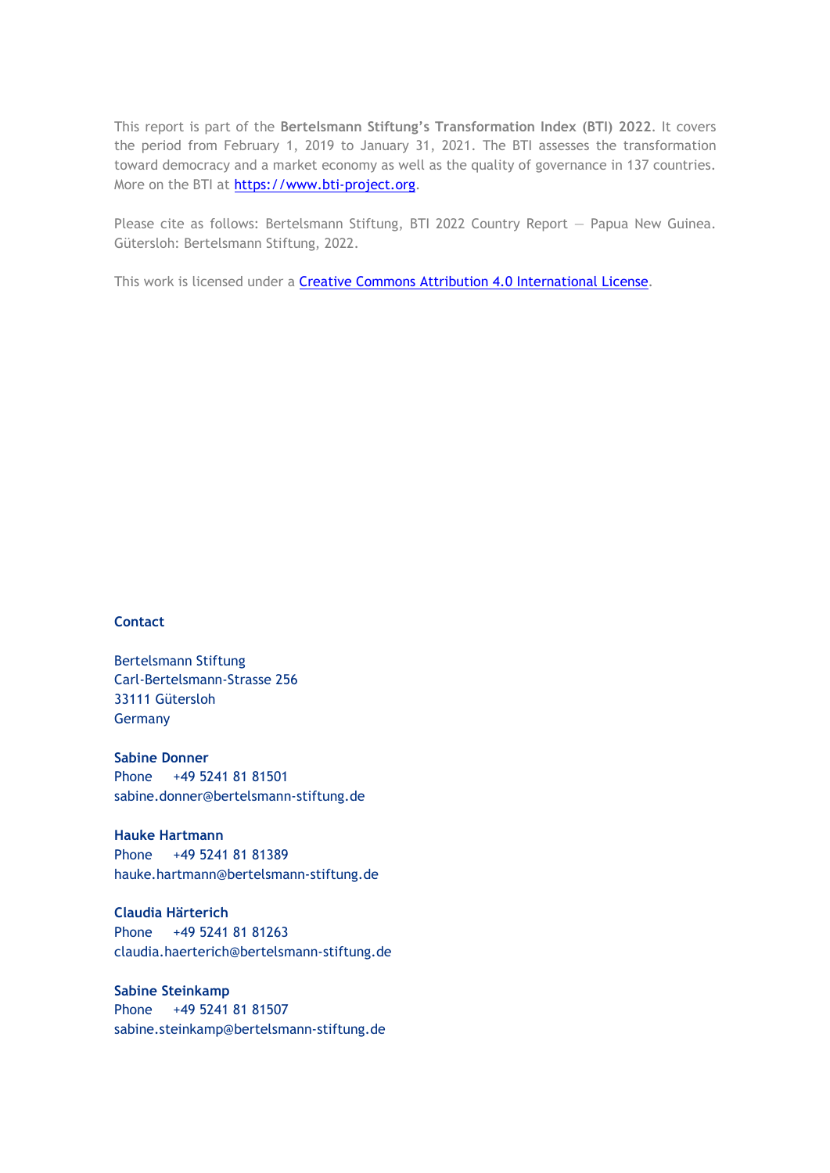This report is part of the **Bertelsmann Stiftung's Transformation Index (BTI) 2022**. It covers the period from February 1, 2019 to January 31, 2021. The BTI assesses the transformation toward democracy and a market economy as well as the quality of governance in 137 countries. More on the BTI at [https://www.bti-project.org.](https://www.bti-project.org/)

Please cite as follows: Bertelsmann Stiftung, BTI 2022 Country Report — Papua New Guinea. Gütersloh: Bertelsmann Stiftung, 2022.

This work is licensed under a **Creative Commons Attribution 4.0 International License**.

#### **Contact**

Bertelsmann Stiftung Carl-Bertelsmann-Strasse 256 33111 Gütersloh Germany

**Sabine Donner** Phone +49 5241 81 81501 sabine.donner@bertelsmann-stiftung.de

**Hauke Hartmann** Phone +49 5241 81 81389 hauke.hartmann@bertelsmann-stiftung.de

**Claudia Härterich** Phone +49 5241 81 81263 claudia.haerterich@bertelsmann-stiftung.de

#### **Sabine Steinkamp** Phone +49 5241 81 81507 sabine.steinkamp@bertelsmann-stiftung.de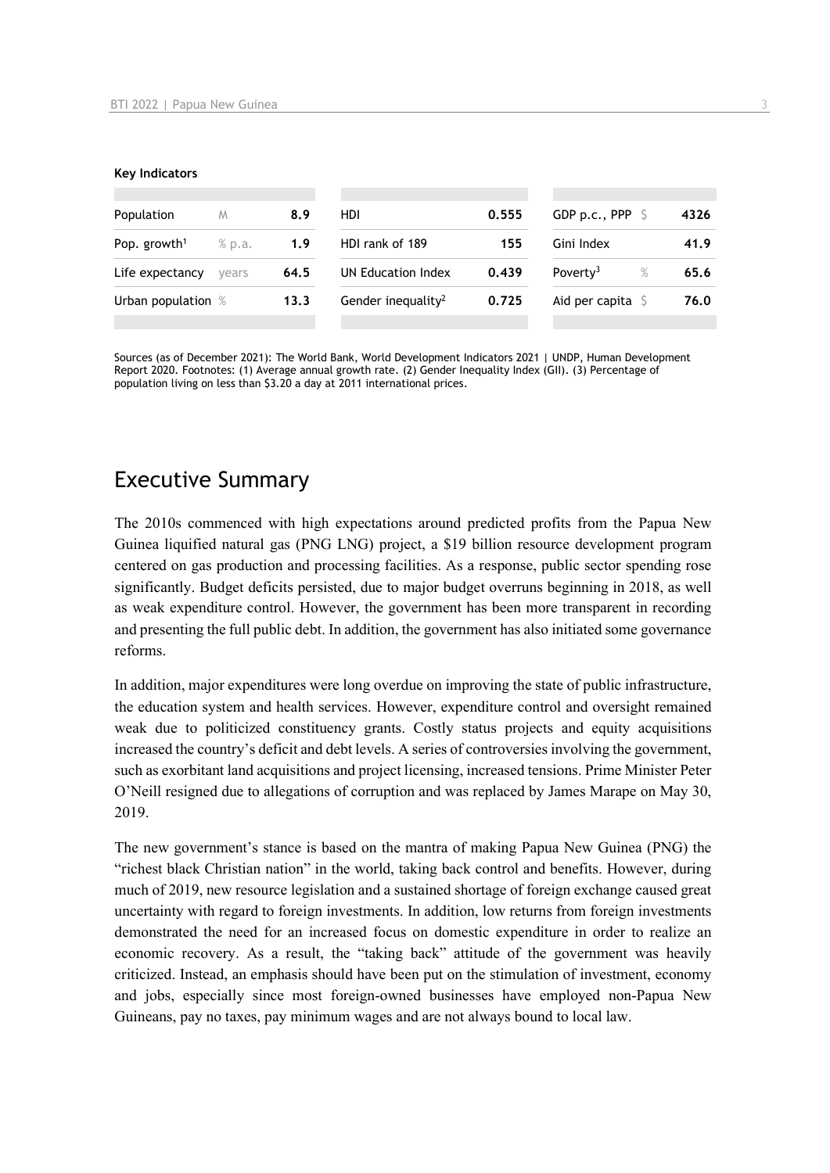#### **Key Indicators**

| Population               | M      | 8.9  | HDI                            | 0.555 | GDP p.c., PPP $\ S$        | 4326 |
|--------------------------|--------|------|--------------------------------|-------|----------------------------|------|
| Pop. growth <sup>1</sup> | % p.a. | 1.9  | HDI rank of 189                | 155   | Gini Index                 | 41.9 |
| Life expectancy          | vears  | 64.5 | UN Education Index             | 0.439 | Poverty <sup>3</sup><br>%  | 65.6 |
| Urban population %       |        | 13.3 | Gender inequality <sup>2</sup> | 0.725 | Aid per capita $\mathsf S$ | 76.0 |
|                          |        |      |                                |       |                            |      |

Sources (as of December 2021): The World Bank, World Development Indicators 2021 | UNDP, Human Development Report 2020. Footnotes: (1) Average annual growth rate. (2) Gender Inequality Index (GII). (3) Percentage of population living on less than \$3.20 a day at 2011 international prices.

## Executive Summary

The 2010s commenced with high expectations around predicted profits from the Papua New Guinea liquified natural gas (PNG LNG) project, a \$19 billion resource development program centered on gas production and processing facilities. As a response, public sector spending rose significantly. Budget deficits persisted, due to major budget overruns beginning in 2018, as well as weak expenditure control. However, the government has been more transparent in recording and presenting the full public debt. In addition, the government has also initiated some governance reforms.

In addition, major expenditures were long overdue on improving the state of public infrastructure, the education system and health services. However, expenditure control and oversight remained weak due to politicized constituency grants. Costly status projects and equity acquisitions increased the country's deficit and debt levels. A series of controversies involving the government, such as exorbitant land acquisitions and project licensing, increased tensions. Prime Minister Peter O'Neill resigned due to allegations of corruption and was replaced by James Marape on May 30, 2019.

The new government's stance is based on the mantra of making Papua New Guinea (PNG) the "richest black Christian nation" in the world, taking back control and benefits. However, during much of 2019, new resource legislation and a sustained shortage of foreign exchange caused great uncertainty with regard to foreign investments. In addition, low returns from foreign investments demonstrated the need for an increased focus on domestic expenditure in order to realize an economic recovery. As a result, the "taking back" attitude of the government was heavily criticized. Instead, an emphasis should have been put on the stimulation of investment, economy and jobs, especially since most foreign-owned businesses have employed non-Papua New Guineans, pay no taxes, pay minimum wages and are not always bound to local law.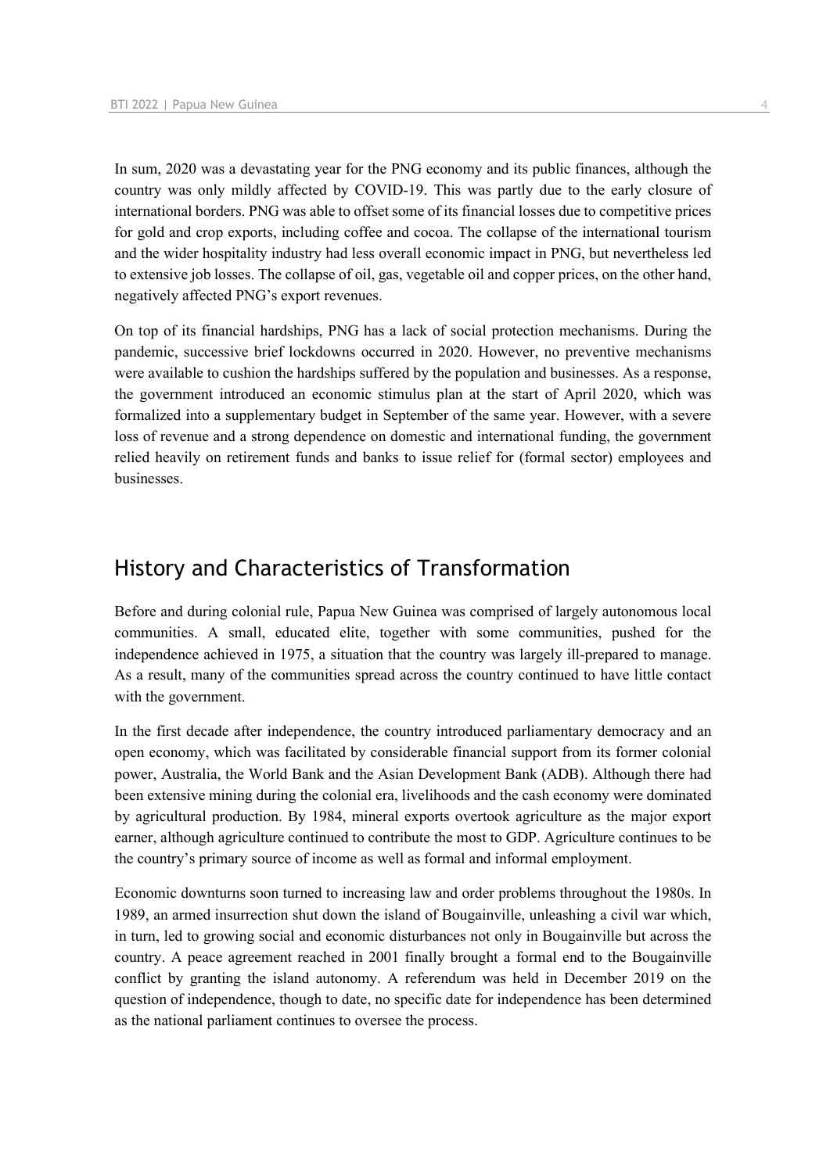In sum, 2020 was a devastating year for the PNG economy and its public finances, although the country was only mildly affected by COVID-19. This was partly due to the early closure of international borders. PNG was able to offset some of its financial losses due to competitive prices for gold and crop exports, including coffee and cocoa. The collapse of the international tourism and the wider hospitality industry had less overall economic impact in PNG, but nevertheless led to extensive job losses. The collapse of oil, gas, vegetable oil and copper prices, on the other hand, negatively affected PNG's export revenues.

On top of its financial hardships, PNG has a lack of social protection mechanisms. During the pandemic, successive brief lockdowns occurred in 2020. However, no preventive mechanisms were available to cushion the hardships suffered by the population and businesses. As a response, the government introduced an economic stimulus plan at the start of April 2020, which was formalized into a supplementary budget in September of the same year. However, with a severe loss of revenue and a strong dependence on domestic and international funding, the government relied heavily on retirement funds and banks to issue relief for (formal sector) employees and businesses.

## History and Characteristics of Transformation

Before and during colonial rule, Papua New Guinea was comprised of largely autonomous local communities. A small, educated elite, together with some communities, pushed for the independence achieved in 1975, a situation that the country was largely ill-prepared to manage. As a result, many of the communities spread across the country continued to have little contact with the government.

In the first decade after independence, the country introduced parliamentary democracy and an open economy, which was facilitated by considerable financial support from its former colonial power, Australia, the World Bank and the Asian Development Bank (ADB). Although there had been extensive mining during the colonial era, livelihoods and the cash economy were dominated by agricultural production. By 1984, mineral exports overtook agriculture as the major export earner, although agriculture continued to contribute the most to GDP. Agriculture continues to be the country's primary source of income as well as formal and informal employment.

Economic downturns soon turned to increasing law and order problems throughout the 1980s. In 1989, an armed insurrection shut down the island of Bougainville, unleashing a civil war which, in turn, led to growing social and economic disturbances not only in Bougainville but across the country. A peace agreement reached in 2001 finally brought a formal end to the Bougainville conflict by granting the island autonomy. A referendum was held in December 2019 on the question of independence, though to date, no specific date for independence has been determined as the national parliament continues to oversee the process.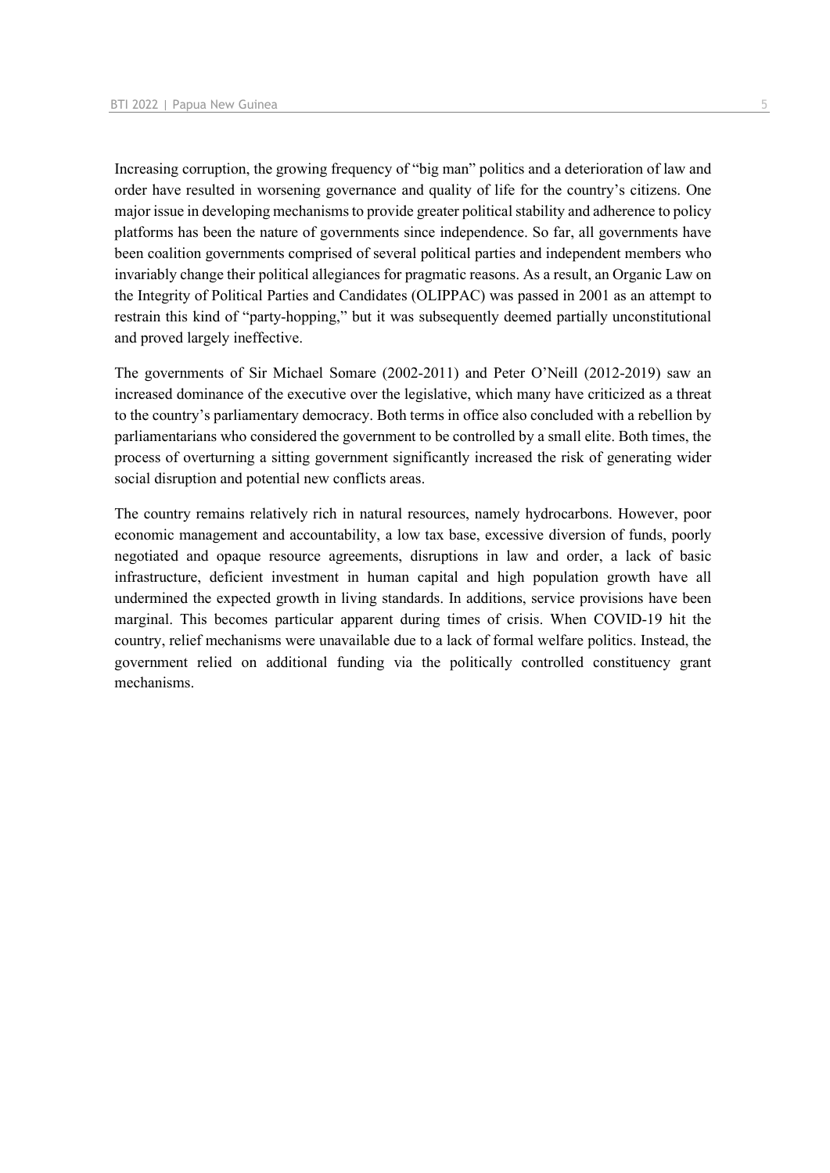Increasing corruption, the growing frequency of "big man" politics and a deterioration of law and order have resulted in worsening governance and quality of life for the country's citizens. One major issue in developing mechanisms to provide greater political stability and adherence to policy platforms has been the nature of governments since independence. So far, all governments have been coalition governments comprised of several political parties and independent members who invariably change their political allegiances for pragmatic reasons. As a result, an Organic Law on the Integrity of Political Parties and Candidates (OLIPPAC) was passed in 2001 as an attempt to restrain this kind of "party-hopping," but it was subsequently deemed partially unconstitutional and proved largely ineffective.

The governments of Sir Michael Somare (2002-2011) and Peter O'Neill (2012-2019) saw an increased dominance of the executive over the legislative, which many have criticized as a threat to the country's parliamentary democracy. Both terms in office also concluded with a rebellion by parliamentarians who considered the government to be controlled by a small elite. Both times, the process of overturning a sitting government significantly increased the risk of generating wider social disruption and potential new conflicts areas.

The country remains relatively rich in natural resources, namely hydrocarbons. However, poor economic management and accountability, a low tax base, excessive diversion of funds, poorly negotiated and opaque resource agreements, disruptions in law and order, a lack of basic infrastructure, deficient investment in human capital and high population growth have all undermined the expected growth in living standards. In additions, service provisions have been marginal. This becomes particular apparent during times of crisis. When COVID-19 hit the country, relief mechanisms were unavailable due to a lack of formal welfare politics. Instead, the government relied on additional funding via the politically controlled constituency grant mechanisms.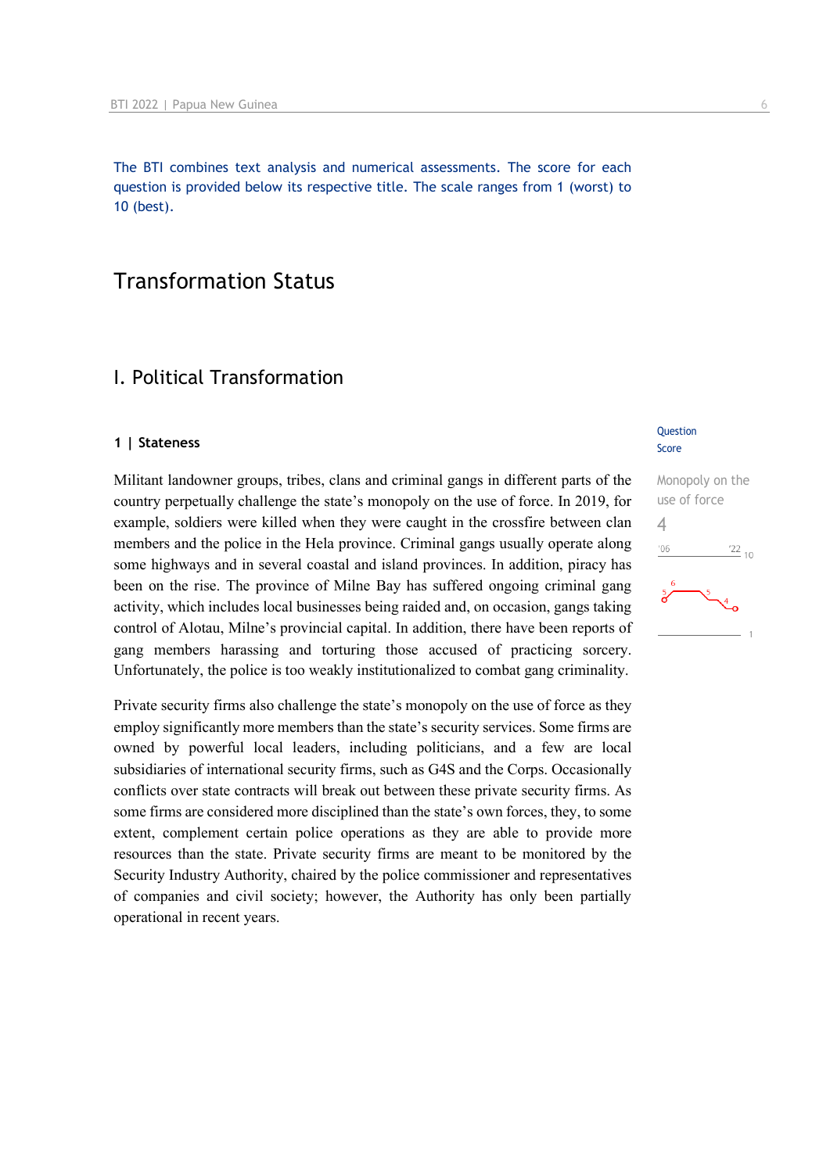The BTI combines text analysis and numerical assessments. The score for each question is provided below its respective title. The scale ranges from 1 (worst) to 10 (best).

## Transformation Status

## I. Political Transformation

#### **1 | Stateness**

Militant landowner groups, tribes, clans and criminal gangs in different parts of the country perpetually challenge the state's monopoly on the use of force. In 2019, for example, soldiers were killed when they were caught in the crossfire between clan members and the police in the Hela province. Criminal gangs usually operate along some highways and in several coastal and island provinces. In addition, piracy has been on the rise. The province of Milne Bay has suffered ongoing criminal gang activity, which includes local businesses being raided and, on occasion, gangs taking control of Alotau, Milne's provincial capital. In addition, there have been reports of gang members harassing and torturing those accused of practicing sorcery. Unfortunately, the police is too weakly institutionalized to combat gang criminality.

Private security firms also challenge the state's monopoly on the use of force as they employ significantly more members than the state's security services. Some firms are owned by powerful local leaders, including politicians, and a few are local subsidiaries of international security firms, such as G4S and the Corps. Occasionally conflicts over state contracts will break out between these private security firms. As some firms are considered more disciplined than the state's own forces, they, to some extent, complement certain police operations as they are able to provide more resources than the state. Private security firms are meant to be monitored by the Security Industry Authority, chaired by the police commissioner and representatives of companies and civil society; however, the Authority has only been partially operational in recent years.

#### **Question** Score

Monopoly on the use of force 4 $\frac{22}{10}$  $106$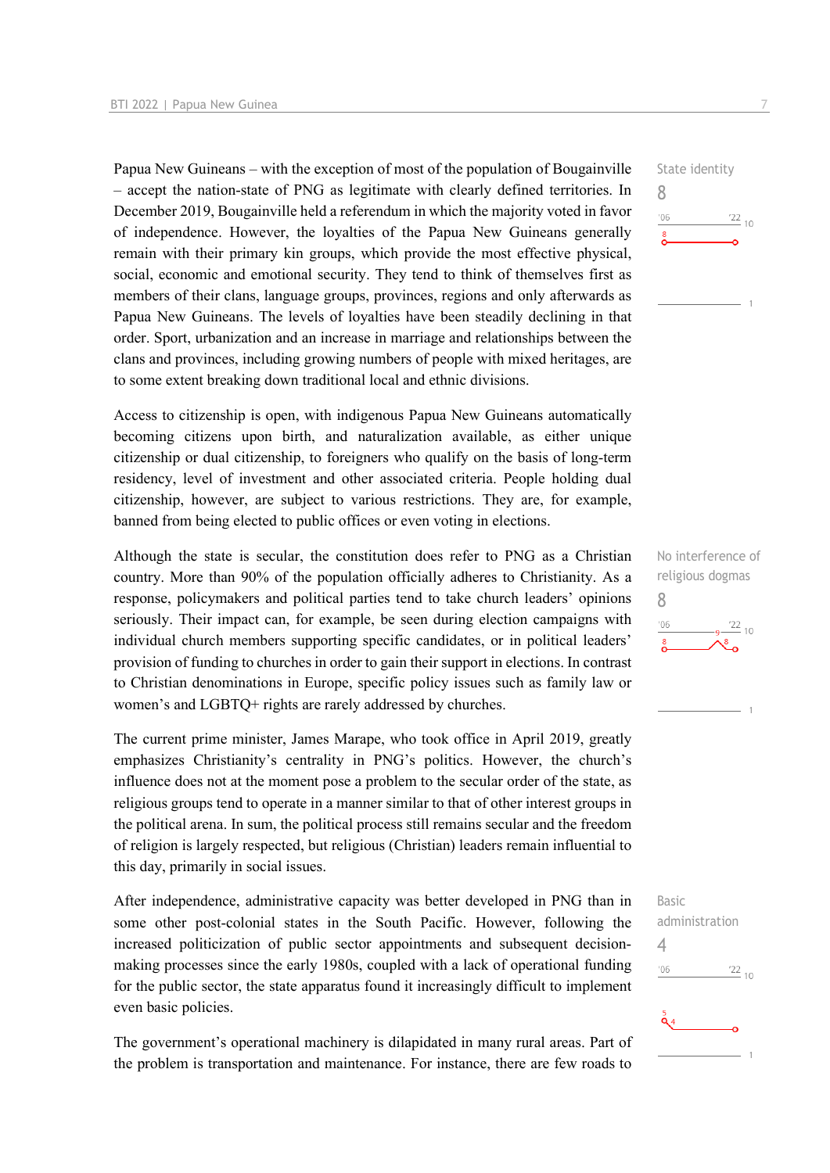Papua New Guineans – with the exception of most of the population of Bougainville – accept the nation-state of PNG as legitimate with clearly defined territories. In December 2019, Bougainville held a referendum in which the majority voted in favor of independence. However, the loyalties of the Papua New Guineans generally remain with their primary kin groups, which provide the most effective physical, social, economic and emotional security. They tend to think of themselves first as members of their clans, language groups, provinces, regions and only afterwards as Papua New Guineans. The levels of loyalties have been steadily declining in that order. Sport, urbanization and an increase in marriage and relationships between the clans and provinces, including growing numbers of people with mixed heritages, are to some extent breaking down traditional local and ethnic divisions.

Access to citizenship is open, with indigenous Papua New Guineans automatically becoming citizens upon birth, and naturalization available, as either unique citizenship or dual citizenship, to foreigners who qualify on the basis of long-term residency, level of investment and other associated criteria. People holding dual citizenship, however, are subject to various restrictions. They are, for example, banned from being elected to public offices or even voting in elections.

Although the state is secular, the constitution does refer to PNG as a Christian country. More than 90% of the population officially adheres to Christianity. As a response, policymakers and political parties tend to take church leaders' opinions seriously. Their impact can, for example, be seen during election campaigns with individual church members supporting specific candidates, or in political leaders' provision of funding to churches in order to gain their support in elections. In contrast to Christian denominations in Europe, specific policy issues such as family law or women's and LGBTQ+ rights are rarely addressed by churches.

The current prime minister, James Marape, who took office in April 2019, greatly emphasizes Christianity's centrality in PNG's politics. However, the church's influence does not at the moment pose a problem to the secular order of the state, as religious groups tend to operate in a manner similar to that of other interest groups in the political arena. In sum, the political process still remains secular and the freedom of religion is largely respected, but religious (Christian) leaders remain influential to this day, primarily in social issues.

After independence, administrative capacity was better developed in PNG than in some other post-colonial states in the South Pacific. However, following the increased politicization of public sector appointments and subsequent decisionmaking processes since the early 1980s, coupled with a lack of operational funding for the public sector, the state apparatus found it increasingly difficult to implement even basic policies.

The government's operational machinery is dilapidated in many rural areas. Part of the problem is transportation and maintenance. For instance, there are few roads to State identity 8  $\frac{22}{10}$  $106$ 

No interference of religious dogmas 8  $\frac{22}{10}$  $106$ 

Basic administration 4 $^{\prime}06$  $\frac{22}{10}$  $\ddot{\mathbf{a}}$  4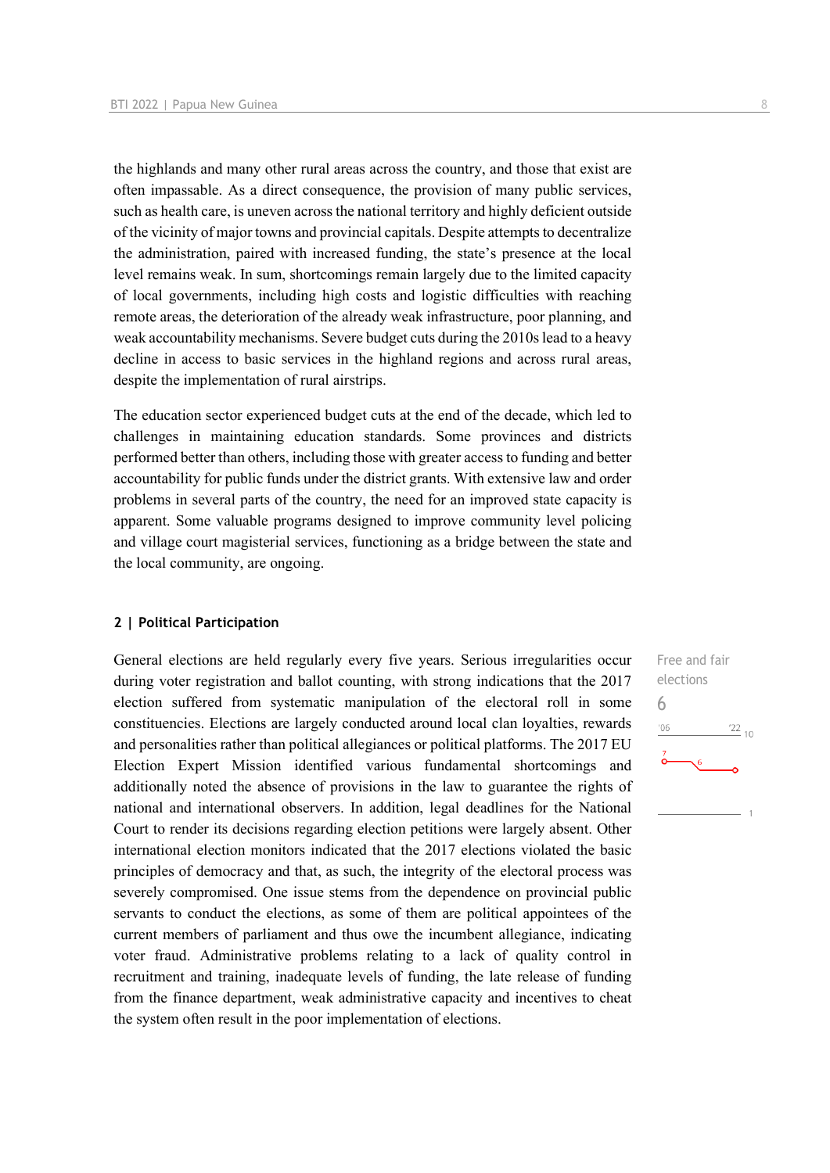the highlands and many other rural areas across the country, and those that exist are often impassable. As a direct consequence, the provision of many public services, such as health care, is uneven across the national territory and highly deficient outside of the vicinity of major towns and provincial capitals. Despite attempts to decentralize the administration, paired with increased funding, the state's presence at the local level remains weak. In sum, shortcomings remain largely due to the limited capacity of local governments, including high costs and logistic difficulties with reaching remote areas, the deterioration of the already weak infrastructure, poor planning, and weak accountability mechanisms. Severe budget cuts during the 2010s lead to a heavy decline in access to basic services in the highland regions and across rural areas, despite the implementation of rural airstrips.

The education sector experienced budget cuts at the end of the decade, which led to challenges in maintaining education standards. Some provinces and districts performed better than others, including those with greater access to funding and better accountability for public funds under the district grants. With extensive law and order problems in several parts of the country, the need for an improved state capacity is apparent. Some valuable programs designed to improve community level policing and village court magisterial services, functioning as a bridge between the state and the local community, are ongoing.

#### **2 | Political Participation**

General elections are held regularly every five years. Serious irregularities occur during voter registration and ballot counting, with strong indications that the 2017 election suffered from systematic manipulation of the electoral roll in some constituencies. Elections are largely conducted around local clan loyalties, rewards and personalities rather than political allegiances or political platforms. The 2017 EU Election Expert Mission identified various fundamental shortcomings and additionally noted the absence of provisions in the law to guarantee the rights of national and international observers. In addition, legal deadlines for the National Court to render its decisions regarding election petitions were largely absent. Other international election monitors indicated that the 2017 elections violated the basic principles of democracy and that, as such, the integrity of the electoral process was severely compromised. One issue stems from the dependence on provincial public servants to conduct the elections, as some of them are political appointees of the current members of parliament and thus owe the incumbent allegiance, indicating voter fraud. Administrative problems relating to a lack of quality control in recruitment and training, inadequate levels of funding, the late release of funding from the finance department, weak administrative capacity and incentives to cheat the system often result in the poor implementation of elections.

Free and fair elections 6 $^{\prime}06$  $^{22}$  10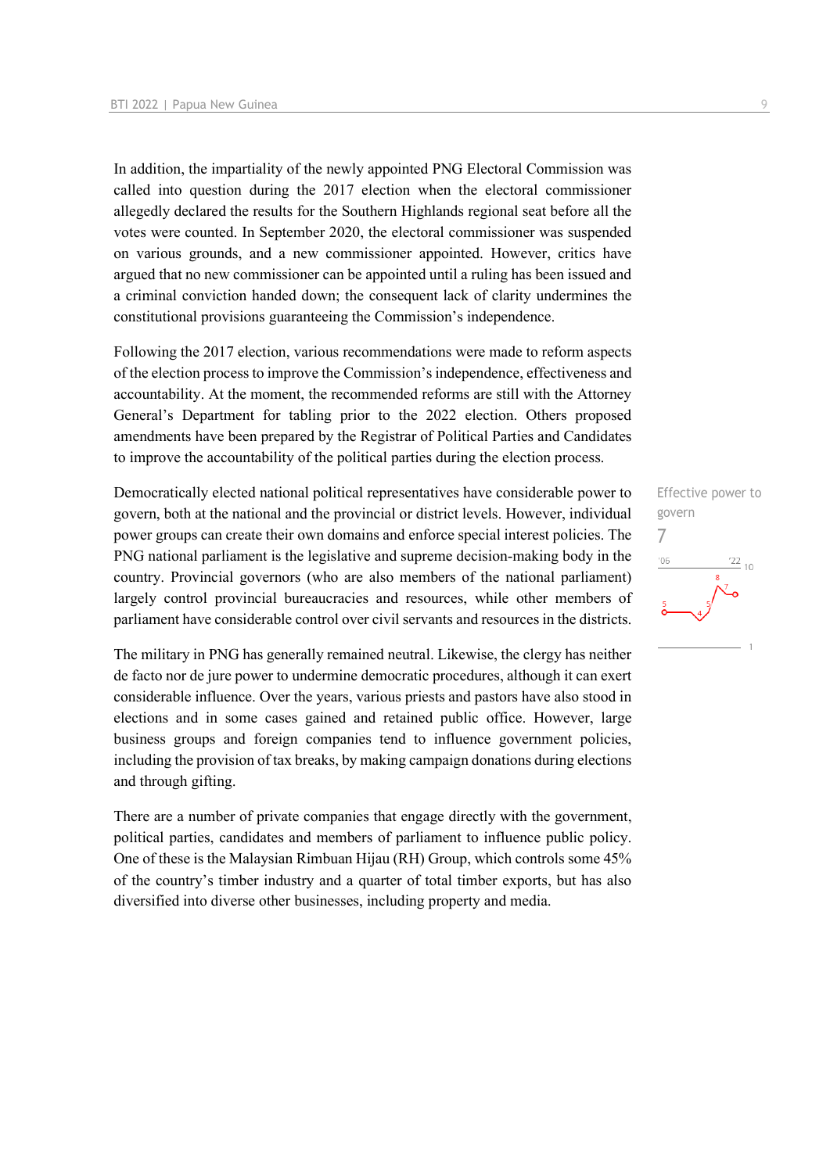In addition, the impartiality of the newly appointed PNG Electoral Commission was called into question during the 2017 election when the electoral commissioner allegedly declared the results for the Southern Highlands regional seat before all the votes were counted. In September 2020, the electoral commissioner was suspended on various grounds, and a new commissioner appointed. However, critics have argued that no new commissioner can be appointed until a ruling has been issued and a criminal conviction handed down; the consequent lack of clarity undermines the constitutional provisions guaranteeing the Commission's independence.

Following the 2017 election, various recommendations were made to reform aspects of the election process to improve the Commission's independence, effectiveness and accountability. At the moment, the recommended reforms are still with the Attorney General's Department for tabling prior to the 2022 election. Others proposed amendments have been prepared by the Registrar of Political Parties and Candidates to improve the accountability of the political parties during the election process.

Democratically elected national political representatives have considerable power to govern, both at the national and the provincial or district levels. However, individual power groups can create their own domains and enforce special interest policies. The PNG national parliament is the legislative and supreme decision-making body in the country. Provincial governors (who are also members of the national parliament) largely control provincial bureaucracies and resources, while other members of parliament have considerable control over civil servants and resources in the districts.

The military in PNG has generally remained neutral. Likewise, the clergy has neither de facto nor de jure power to undermine democratic procedures, although it can exert considerable influence. Over the years, various priests and pastors have also stood in elections and in some cases gained and retained public office. However, large business groups and foreign companies tend to influence government policies, including the provision of tax breaks, by making campaign donations during elections and through gifting.

There are a number of private companies that engage directly with the government, political parties, candidates and members of parliament to influence public policy. One of these is the Malaysian Rimbuan Hijau (RH) Group, which controls some 45% of the country's timber industry and a quarter of total timber exports, but has also diversified into diverse other businesses, including property and media.

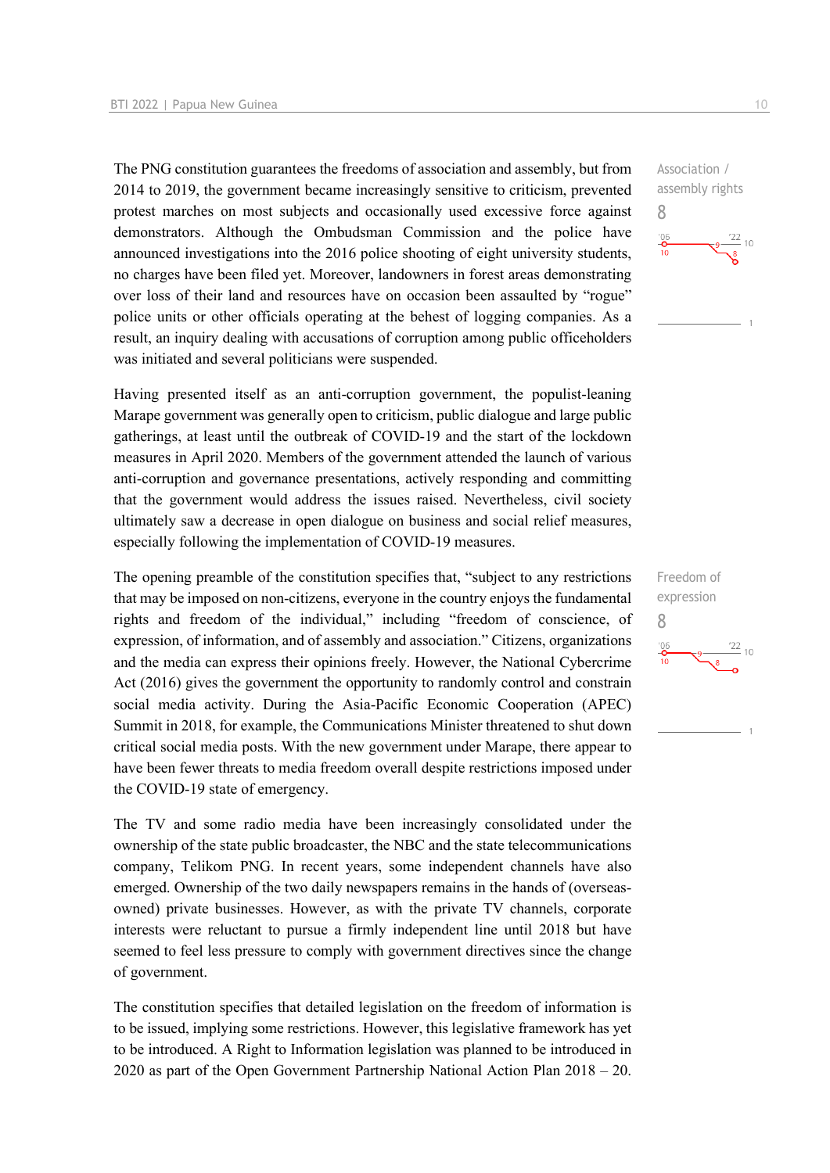The PNG constitution guarantees the freedoms of association and assembly, but from 2014 to 2019, the government became increasingly sensitive to criticism, prevented protest marches on most subjects and occasionally used excessive force against demonstrators. Although the Ombudsman Commission and the police have announced investigations into the 2016 police shooting of eight university students, no charges have been filed yet. Moreover, landowners in forest areas demonstrating over loss of their land and resources have on occasion been assaulted by "rogue" police units or other officials operating at the behest of logging companies. As a result, an inquiry dealing with accusations of corruption among public officeholders was initiated and several politicians were suspended.

Having presented itself as an anti-corruption government, the populist-leaning Marape government was generally open to criticism, public dialogue and large public gatherings, at least until the outbreak of COVID-19 and the start of the lockdown measures in April 2020. Members of the government attended the launch of various anti-corruption and governance presentations, actively responding and committing that the government would address the issues raised. Nevertheless, civil society ultimately saw a decrease in open dialogue on business and social relief measures, especially following the implementation of COVID-19 measures.

The opening preamble of the constitution specifies that, "subject to any restrictions that may be imposed on non-citizens, everyone in the country enjoys the fundamental rights and freedom of the individual," including "freedom of conscience, of expression, of information, and of assembly and association." Citizens, organizations and the media can express their opinions freely. However, the National Cybercrime Act (2016) gives the government the opportunity to randomly control and constrain social media activity. During the Asia-Pacific Economic Cooperation (APEC) Summit in 2018, for example, the Communications Minister threatened to shut down critical social media posts. With the new government under Marape, there appear to have been fewer threats to media freedom overall despite restrictions imposed under the COVID-19 state of emergency.

The TV and some radio media have been increasingly consolidated under the ownership of the state public broadcaster, the NBC and the state telecommunications company, Telikom PNG. In recent years, some independent channels have also emerged. Ownership of the two daily newspapers remains in the hands of (overseasowned) private businesses. However, as with the private TV channels, corporate interests were reluctant to pursue a firmly independent line until 2018 but have seemed to feel less pressure to comply with government directives since the change of government.

The constitution specifies that detailed legislation on the freedom of information is to be issued, implying some restrictions. However, this legislative framework has yet to be introduced. A Right to Information legislation was planned to be introduced in 2020 as part of the Open Government Partnership National Action Plan 2018 – 20. Association / assembly rights 8  $\frac{22}{10}$  10

Freedom of expression 8 $\frac{22}{10}$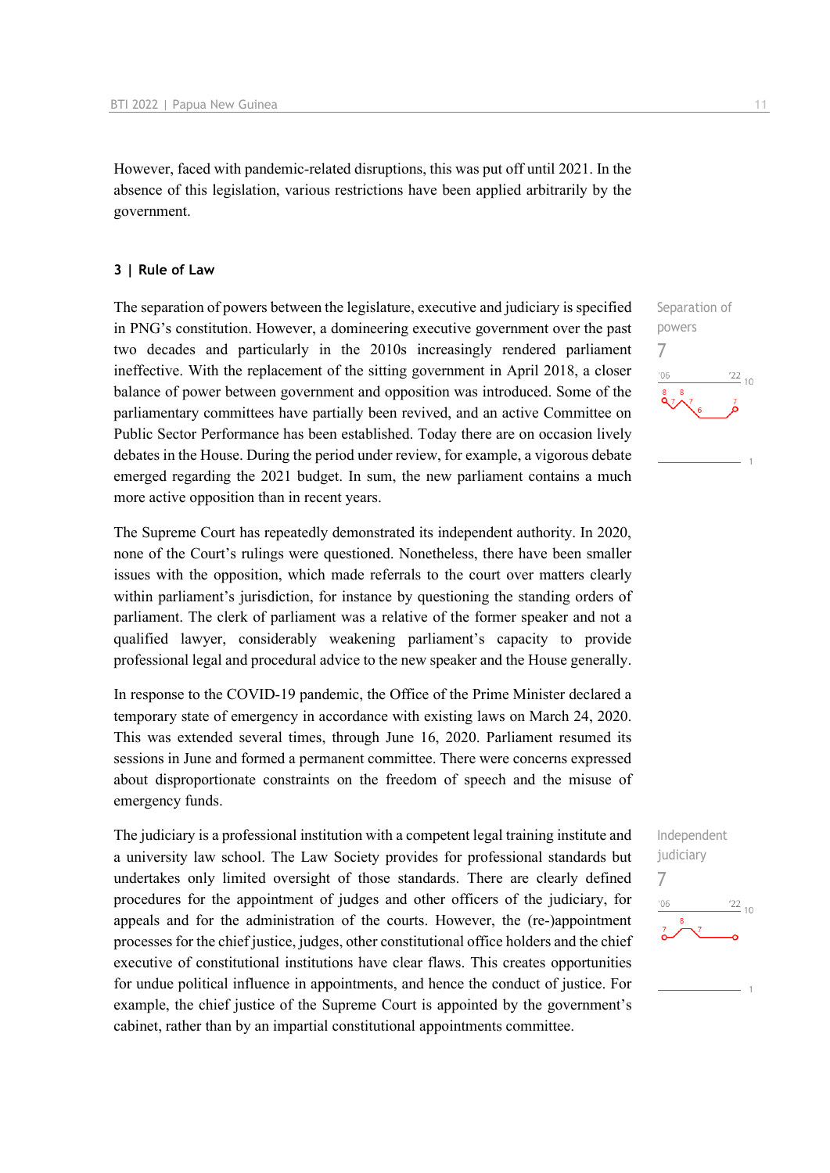However, faced with pandemic-related disruptions, this was put off until 2021. In the absence of this legislation, various restrictions have been applied arbitrarily by the government.

#### **3 | Rule of Law**

The separation of powers between the legislature, executive and judiciary is specified in PNG's constitution. However, a domineering executive government over the past two decades and particularly in the 2010s increasingly rendered parliament ineffective. With the replacement of the sitting government in April 2018, a closer balance of power between government and opposition was introduced. Some of the parliamentary committees have partially been revived, and an active Committee on Public Sector Performance has been established. Today there are on occasion lively debates in the House. During the period under review, for example, a vigorous debate emerged regarding the 2021 budget. In sum, the new parliament contains a much more active opposition than in recent years.

The Supreme Court has repeatedly demonstrated its independent authority. In 2020, none of the Court's rulings were questioned. Nonetheless, there have been smaller issues with the opposition, which made referrals to the court over matters clearly within parliament's jurisdiction, for instance by questioning the standing orders of parliament. The clerk of parliament was a relative of the former speaker and not a qualified lawyer, considerably weakening parliament's capacity to provide professional legal and procedural advice to the new speaker and the House generally.

In response to the COVID-19 pandemic, the Office of the Prime Minister declared a temporary state of emergency in accordance with existing laws on March 24, 2020. This was extended several times, through June 16, 2020. Parliament resumed its sessions in June and formed a permanent committee. There were concerns expressed about disproportionate constraints on the freedom of speech and the misuse of emergency funds.

The judiciary is a professional institution with a competent legal training institute and a university law school. The Law Society provides for professional standards but undertakes only limited oversight of those standards. There are clearly defined procedures for the appointment of judges and other officers of the judiciary, for appeals and for the administration of the courts. However, the (re-)appointment processes for the chief justice, judges, other constitutional office holders and the chief executive of constitutional institutions have clear flaws. This creates opportunities for undue political influence in appointments, and hence the conduct of justice. For example, the chief justice of the Supreme Court is appointed by the government's cabinet, rather than by an impartial constitutional appointments committee.



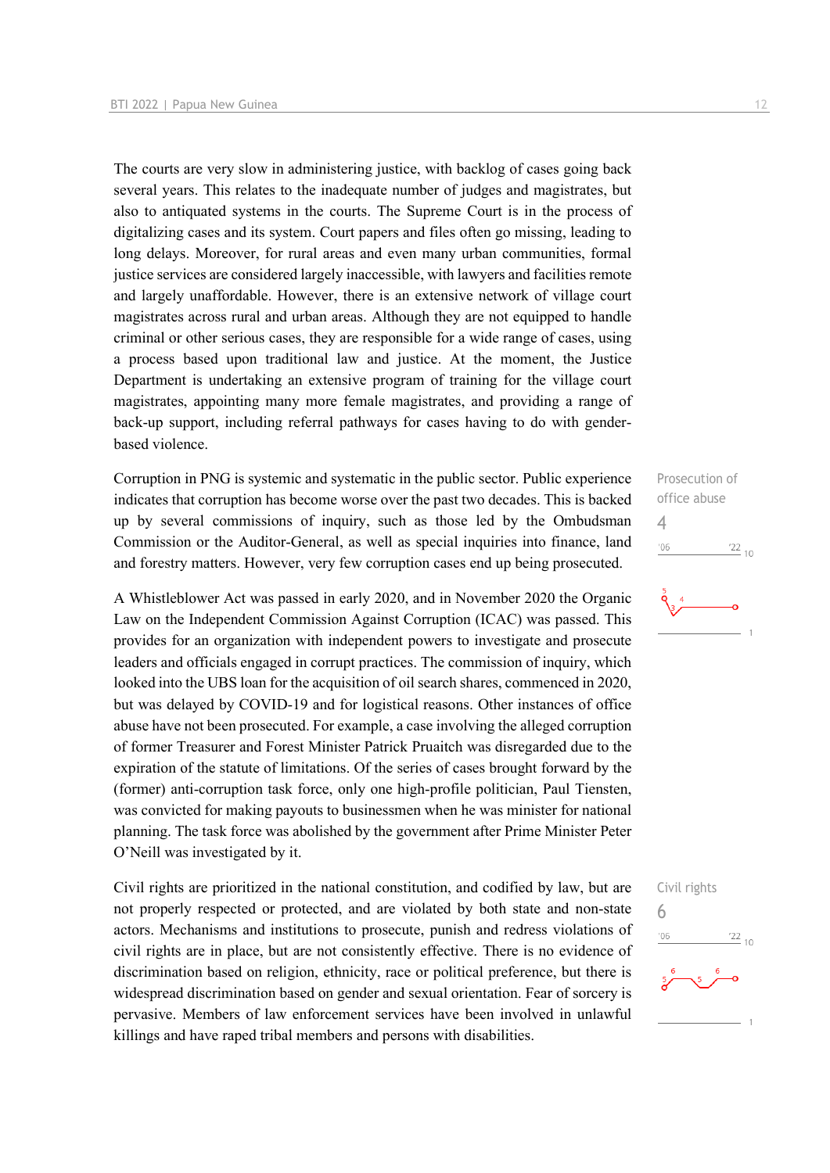The courts are very slow in administering justice, with backlog of cases going back several years. This relates to the inadequate number of judges and magistrates, but also to antiquated systems in the courts. The Supreme Court is in the process of digitalizing cases and its system. Court papers and files often go missing, leading to long delays. Moreover, for rural areas and even many urban communities, formal justice services are considered largely inaccessible, with lawyers and facilities remote and largely unaffordable. However, there is an extensive network of village court magistrates across rural and urban areas. Although they are not equipped to handle criminal or other serious cases, they are responsible for a wide range of cases, using a process based upon traditional law and justice. At the moment, the Justice Department is undertaking an extensive program of training for the village court magistrates, appointing many more female magistrates, and providing a range of back-up support, including referral pathways for cases having to do with genderbased violence.

Corruption in PNG is systemic and systematic in the public sector. Public experience indicates that corruption has become worse over the past two decades. This is backed up by several commissions of inquiry, such as those led by the Ombudsman Commission or the Auditor-General, as well as special inquiries into finance, land and forestry matters. However, very few corruption cases end up being prosecuted.

A Whistleblower Act was passed in early 2020, and in November 2020 the Organic Law on the Independent Commission Against Corruption (ICAC) was passed. This provides for an organization with independent powers to investigate and prosecute leaders and officials engaged in corrupt practices. The commission of inquiry, which looked into the UBS loan for the acquisition of oil search shares, commenced in 2020, but was delayed by COVID-19 and for logistical reasons. Other instances of office abuse have not been prosecuted. For example, a case involving the alleged corruption of former Treasurer and Forest Minister Patrick Pruaitch was disregarded due to the expiration of the statute of limitations. Of the series of cases brought forward by the (former) anti-corruption task force, only one high-profile politician, Paul Tiensten, was convicted for making payouts to businessmen when he was minister for national planning. The task force was abolished by the government after Prime Minister Peter O'Neill was investigated by it.

Civil rights are prioritized in the national constitution, and codified by law, but are not properly respected or protected, and are violated by both state and non-state actors. Mechanisms and institutions to prosecute, punish and redress violations of civil rights are in place, but are not consistently effective. There is no evidence of discrimination based on religion, ethnicity, race or political preference, but there is widespread discrimination based on gender and sexual orientation. Fear of sorcery is pervasive. Members of law enforcement services have been involved in unlawful killings and have raped tribal members and persons with disabilities.

Prosecution of office abuse 4  $-06$  $\frac{22}{10}$ 



Civil rights 6 $\frac{22}{10}$ '06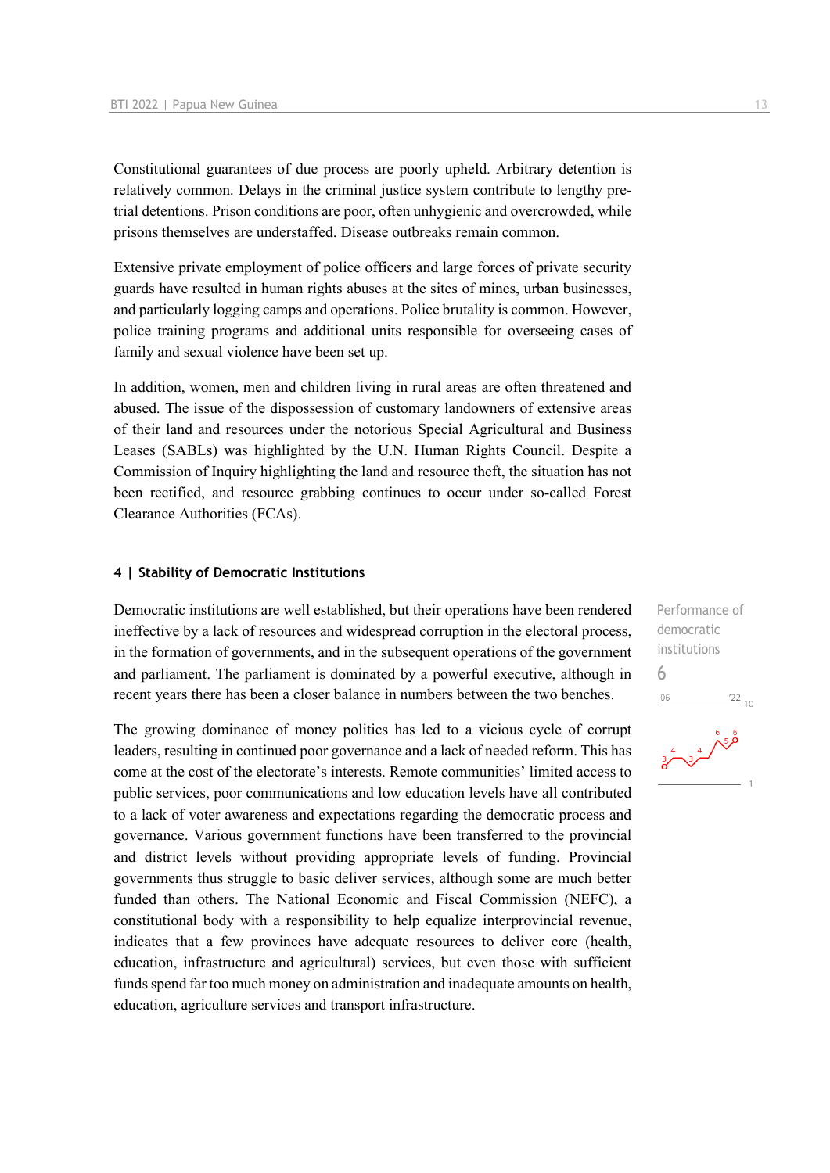Constitutional guarantees of due process are poorly upheld. Arbitrary detention is relatively common. Delays in the criminal justice system contribute to lengthy pretrial detentions. Prison conditions are poor, often unhygienic and overcrowded, while prisons themselves are understaffed. Disease outbreaks remain common.

Extensive private employment of police officers and large forces of private security guards have resulted in human rights abuses at the sites of mines, urban businesses, and particularly logging camps and operations. Police brutality is common. However, police training programs and additional units responsible for overseeing cases of family and sexual violence have been set up.

In addition, women, men and children living in rural areas are often threatened and abused. The issue of the dispossession of customary landowners of extensive areas of their land and resources under the notorious Special Agricultural and Business Leases (SABLs) was highlighted by the U.N. Human Rights Council. Despite a Commission of Inquiry highlighting the land and resource theft, the situation has not been rectified, and resource grabbing continues to occur under so-called Forest Clearance Authorities (FCAs).

#### **4 | Stability of Democratic Institutions**

Democratic institutions are well established, but their operations have been rendered ineffective by a lack of resources and widespread corruption in the electoral process, in the formation of governments, and in the subsequent operations of the government and parliament. The parliament is dominated by a powerful executive, although in recent years there has been a closer balance in numbers between the two benches.

The growing dominance of money politics has led to a vicious cycle of corrupt leaders, resulting in continued poor governance and a lack of needed reform. This has come at the cost of the electorate's interests. Remote communities' limited access to public services, poor communications and low education levels have all contributed to a lack of voter awareness and expectations regarding the democratic process and governance. Various government functions have been transferred to the provincial and district levels without providing appropriate levels of funding. Provincial governments thus struggle to basic deliver services, although some are much better funded than others. The National Economic and Fiscal Commission (NEFC), a constitutional body with a responsibility to help equalize interprovincial revenue, indicates that a few provinces have adequate resources to deliver core (health, education, infrastructure and agricultural) services, but even those with sufficient funds spend far too much money on administration and inadequate amounts on health, education, agriculture services and transport infrastructure.

Performance of democratic institutions 6 $-06$  $\frac{22}{10}$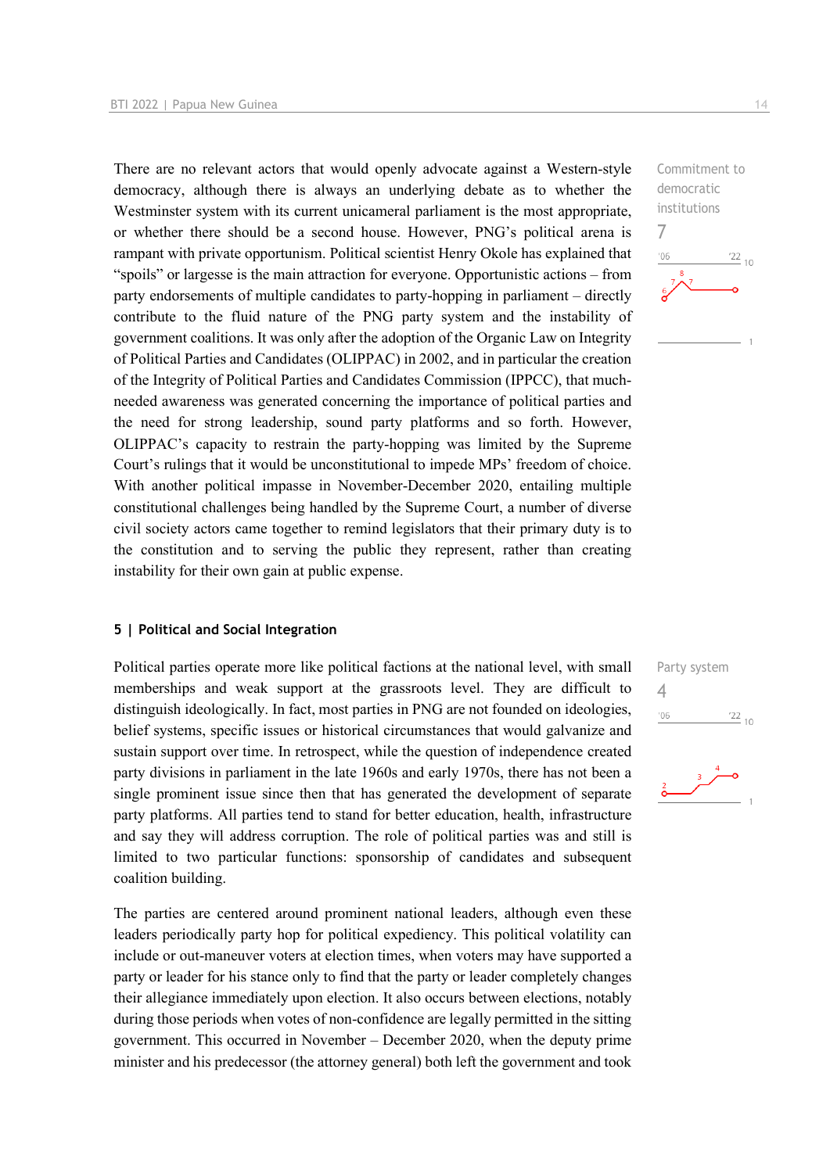There are no relevant actors that would openly advocate against a Western-style democracy, although there is always an underlying debate as to whether the Westminster system with its current unicameral parliament is the most appropriate, or whether there should be a second house. However, PNG's political arena is rampant with private opportunism. Political scientist Henry Okole has explained that "spoils" or largesse is the main attraction for everyone. Opportunistic actions – from party endorsements of multiple candidates to party-hopping in parliament – directly contribute to the fluid nature of the PNG party system and the instability of government coalitions. It was only after the adoption of the Organic Law on Integrity of Political Parties and Candidates (OLIPPAC) in 2002, and in particular the creation of the Integrity of Political Parties and Candidates Commission (IPPCC), that muchneeded awareness was generated concerning the importance of political parties and the need for strong leadership, sound party platforms and so forth. However, OLIPPAC's capacity to restrain the party-hopping was limited by the Supreme Court's rulings that it would be unconstitutional to impede MPs' freedom of choice. With another political impasse in November-December 2020, entailing multiple constitutional challenges being handled by the Supreme Court, a number of diverse civil society actors came together to remind legislators that their primary duty is to the constitution and to serving the public they represent, rather than creating instability for their own gain at public expense.

#### **5 | Political and Social Integration**

Political parties operate more like political factions at the national level, with small memberships and weak support at the grassroots level. They are difficult to distinguish ideologically. In fact, most parties in PNG are not founded on ideologies, belief systems, specific issues or historical circumstances that would galvanize and sustain support over time. In retrospect, while the question of independence created party divisions in parliament in the late 1960s and early 1970s, there has not been a single prominent issue since then that has generated the development of separate party platforms. All parties tend to stand for better education, health, infrastructure and say they will address corruption. The role of political parties was and still is limited to two particular functions: sponsorship of candidates and subsequent coalition building.

The parties are centered around prominent national leaders, although even these leaders periodically party hop for political expediency. This political volatility can include or out-maneuver voters at election times, when voters may have supported a party or leader for his stance only to find that the party or leader completely changes their allegiance immediately upon election. It also occurs between elections, notably during those periods when votes of non-confidence are legally permitted in the sitting government. This occurred in November – December 2020, when the deputy prime minister and his predecessor (the attorney general) both left the government and took Commitment to democratic institutions 7  $\frac{22}{10}$  $n<sub>6</sub>$ 

Party system 4 $\frac{22}{10}$  $'06$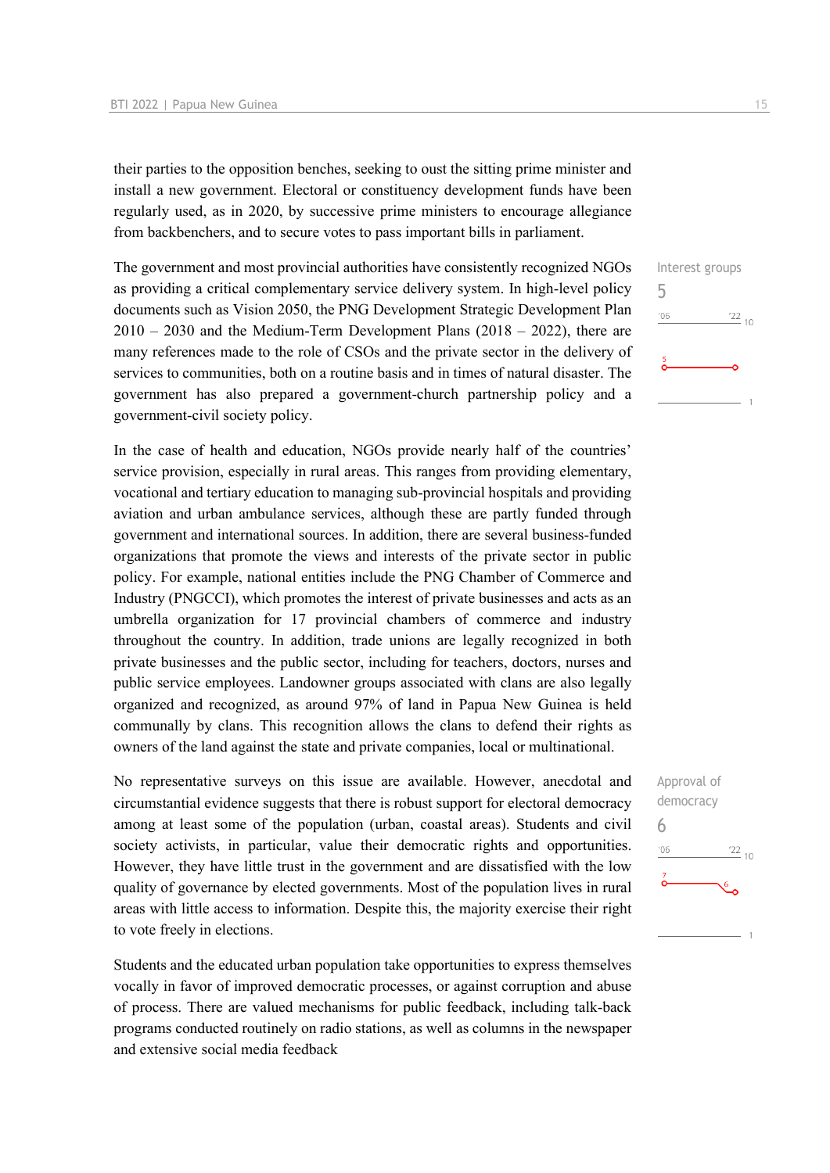their parties to the opposition benches, seeking to oust the sitting prime minister and install a new government. Electoral or constituency development funds have been regularly used, as in 2020, by successive prime ministers to encourage allegiance from backbenchers, and to secure votes to pass important bills in parliament.

The government and most provincial authorities have consistently recognized NGOs as providing a critical complementary service delivery system. In high-level policy documents such as Vision 2050, the PNG Development Strategic Development Plan  $2010 - 2030$  and the Medium-Term Development Plans (2018 – 2022), there are many references made to the role of CSOs and the private sector in the delivery of services to communities, both on a routine basis and in times of natural disaster. The government has also prepared a government-church partnership policy and a government-civil society policy.

In the case of health and education, NGOs provide nearly half of the countries' service provision, especially in rural areas. This ranges from providing elementary, vocational and tertiary education to managing sub-provincial hospitals and providing aviation and urban ambulance services, although these are partly funded through government and international sources. In addition, there are several business-funded organizations that promote the views and interests of the private sector in public policy. For example, national entities include the PNG Chamber of Commerce and Industry (PNGCCI), which promotes the interest of private businesses and acts as an umbrella organization for 17 provincial chambers of commerce and industry throughout the country. In addition, trade unions are legally recognized in both private businesses and the public sector, including for teachers, doctors, nurses and public service employees. Landowner groups associated with clans are also legally organized and recognized, as around 97% of land in Papua New Guinea is held communally by clans. This recognition allows the clans to defend their rights as owners of the land against the state and private companies, local or multinational.

No representative surveys on this issue are available. However, anecdotal and circumstantial evidence suggests that there is robust support for electoral democracy among at least some of the population (urban, coastal areas). Students and civil society activists, in particular, value their democratic rights and opportunities. However, they have little trust in the government and are dissatisfied with the low quality of governance by elected governments. Most of the population lives in rural areas with little access to information. Despite this, the majority exercise their right to vote freely in elections.

Students and the educated urban population take opportunities to express themselves vocally in favor of improved democratic processes, or against corruption and abuse of process. There are valued mechanisms for public feedback, including talk-back programs conducted routinely on radio stations, as well as columns in the newspaper and extensive social media feedback



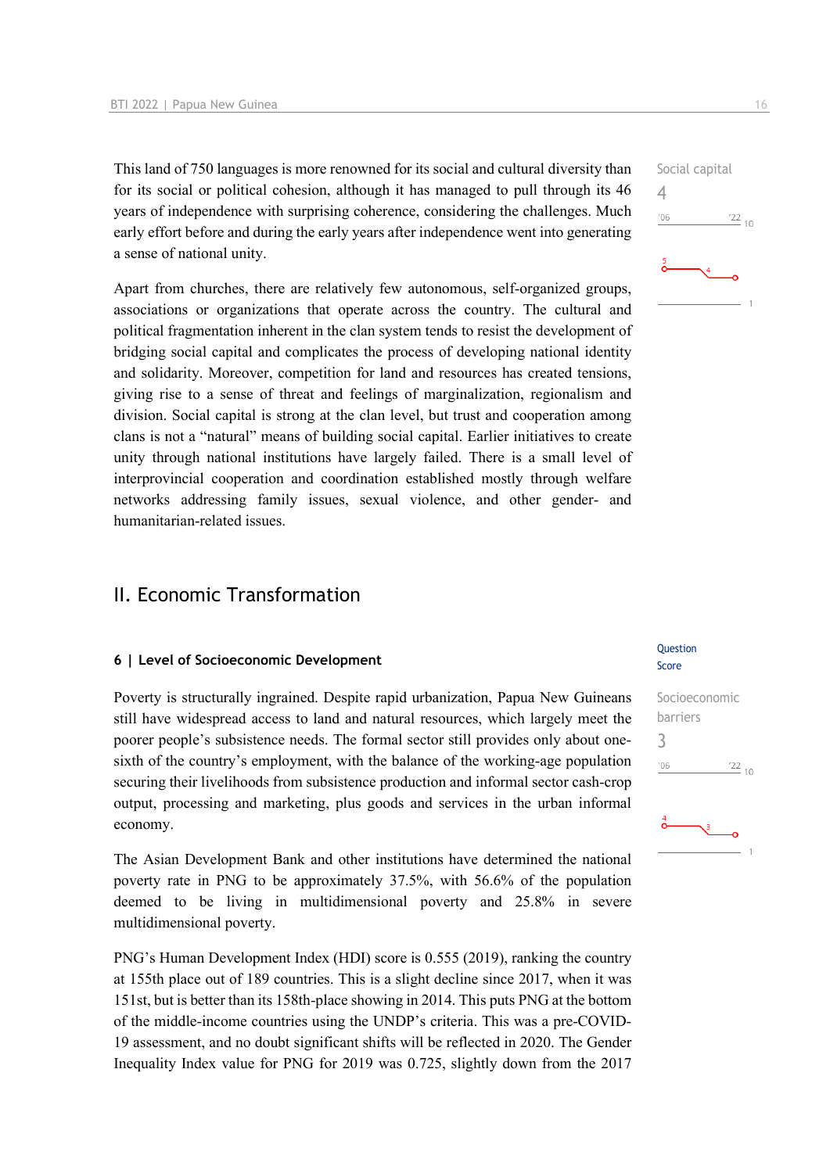This land of 750 languages is more renowned for its social and cultural diversity than for its social or political cohesion, although it has managed to pull through its 46 years of independence with surprising coherence, considering the challenges. Much early effort before and during the early years after independence went into generating a sense of national unity.

Apart from churches, there are relatively few autonomous, self-organized groups, associations or organizations that operate across the country. The cultural and political fragmentation inherent in the clan system tends to resist the development of bridging social capital and complicates the process of developing national identity and solidarity. Moreover, competition for land and resources has created tensions, giving rise to a sense of threat and feelings of marginalization, regionalism and division. Social capital is strong at the clan level, but trust and cooperation among clans is not a "natural" means of building social capital. Earlier initiatives to create unity through national institutions have largely failed. There is a small level of interprovincial cooperation and coordination established mostly through welfare networks addressing family issues, sexual violence, and other gender- and humanitarian-related issues.

## II. Economic Transformation

#### **6 | Level of Socioeconomic Development**

Poverty is structurally ingrained. Despite rapid urbanization, Papua New Guineans still have widespread access to land and natural resources, which largely meet the poorer people's subsistence needs. The formal sector still provides only about onesixth of the country's employment, with the balance of the working-age population securing their livelihoods from subsistence production and informal sector cash-crop output, processing and marketing, plus goods and services in the urban informal economy.

The Asian Development Bank and other institutions have determined the national poverty rate in PNG to be approximately 37.5%, with 56.6% of the population deemed to be living in multidimensional poverty and 25.8% in severe multidimensional poverty.

PNG's Human Development Index (HDI) score is 0.555 (2019), ranking the country at 155th place out of 189 countries. This is a slight decline since 2017, when it was 151st, but is better than its 158th-place showing in 2014. This puts PNG at the bottom of the middle-income countries using the UNDP's criteria. This was a pre-COVID-19 assessment, and no doubt significant shifts will be reflected in 2020. The Gender Inequality Index value for PNG for 2019 was 0.725, slightly down from the 2017

#### Question Score

## Social capital 4  $106$  $\frac{22}{10}$



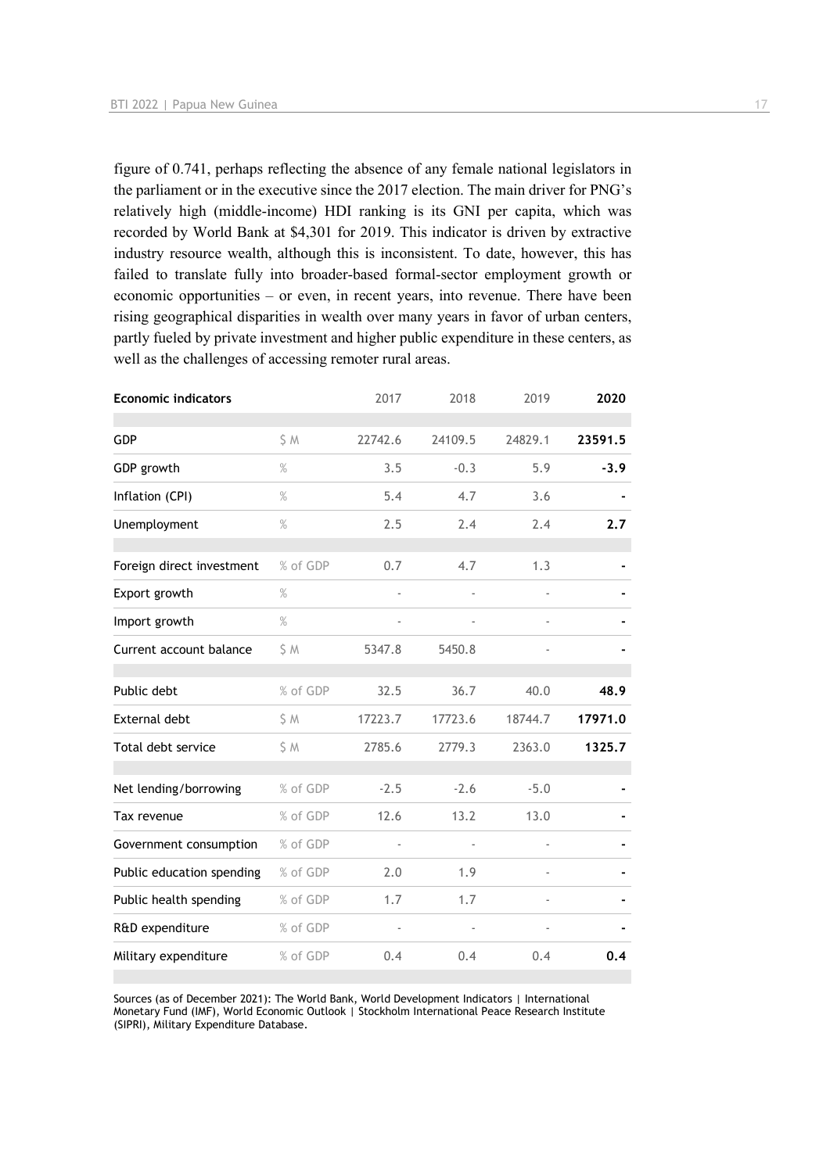figure of 0.741, perhaps reflecting the absence of any female national legislators in the parliament or in the executive since the 2017 election. The main driver for PNG's relatively high (middle-income) HDI ranking is its GNI per capita, which was recorded by World Bank at \$4,301 for 2019. This indicator is driven by extractive industry resource wealth, although this is inconsistent. To date, however, this has failed to translate fully into broader-based formal-sector employment growth or economic opportunities – or even, in recent years, into revenue. There have been rising geographical disparities in wealth over many years in favor of urban centers, partly fueled by private investment and higher public expenditure in these centers, as well as the challenges of accessing remoter rural areas.

|               | 2017                     |                |         | 2020    |
|---------------|--------------------------|----------------|---------|---------|
| S M           | 22742.6                  | 24109.5        | 24829.1 | 23591.5 |
| %             | 3.5                      | $-0.3$         | 5.9     | $-3.9$  |
| $\%$          | 5.4                      | 4.7            | 3.6     |         |
| $\frac{0}{0}$ | 2.5                      | 2.4            | 2.4     | 2.7     |
| % of GDP      | 0.7                      | 4.7            | 1.3     |         |
| $\%$          |                          |                |         |         |
| %             | $\overline{\phantom{a}}$ | ÷,             |         |         |
| \$ M          | 5347.8                   | 5450.8         |         |         |
| % of GDP      | 32.5                     | 36.7           | 40.0    | 48.9    |
| \$ M          | 17223.7                  | 17723.6        | 18744.7 | 17971.0 |
| \$ M          | 2785.6                   | 2779.3         | 2363.0  | 1325.7  |
| % of GDP      | $-2.5$                   | $-2.6$         | $-5.0$  |         |
| % of GDP      | 12.6                     | 13.2           | 13.0    |         |
| % of GDP      | ä,                       | $\blacksquare$ | ä,      |         |
| % of GDP      | 2.0                      | 1.9            |         |         |
| % of GDP      | 1.7                      | 1.7            |         |         |
| % of GDP      |                          |                |         |         |
| % of GDP      | 0.4                      | 0.4            | 0.4     | 0.4     |
|               |                          |                | 2018    | 2019    |

Sources (as of December 2021): The World Bank, World Development Indicators | International Monetary Fund (IMF), World Economic Outlook | Stockholm International Peace Research Institute (SIPRI), Military Expenditure Database.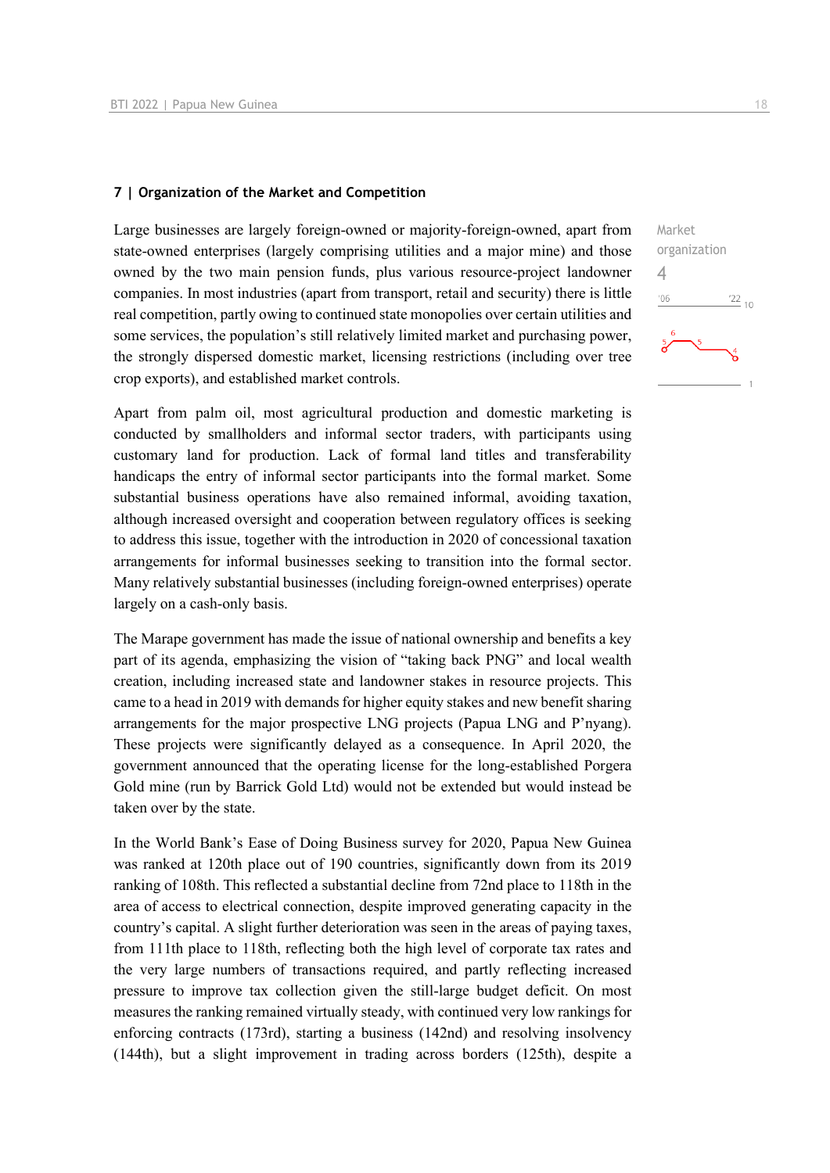#### **7 | Organization of the Market and Competition**

Large businesses are largely foreign-owned or majority-foreign-owned, apart from state-owned enterprises (largely comprising utilities and a major mine) and those owned by the two main pension funds, plus various resource-project landowner companies. In most industries (apart from transport, retail and security) there is little real competition, partly owing to continued state monopolies over certain utilities and some services, the population's still relatively limited market and purchasing power, the strongly dispersed domestic market, licensing restrictions (including over tree crop exports), and established market controls.

Apart from palm oil, most agricultural production and domestic marketing is conducted by smallholders and informal sector traders, with participants using customary land for production. Lack of formal land titles and transferability handicaps the entry of informal sector participants into the formal market. Some substantial business operations have also remained informal, avoiding taxation, although increased oversight and cooperation between regulatory offices is seeking to address this issue, together with the introduction in 2020 of concessional taxation arrangements for informal businesses seeking to transition into the formal sector. Many relatively substantial businesses (including foreign-owned enterprises) operate largely on a cash-only basis.

The Marape government has made the issue of national ownership and benefits a key part of its agenda, emphasizing the vision of "taking back PNG" and local wealth creation, including increased state and landowner stakes in resource projects. This came to a head in 2019 with demands for higher equity stakes and new benefit sharing arrangements for the major prospective LNG projects (Papua LNG and P'nyang). These projects were significantly delayed as a consequence. In April 2020, the government announced that the operating license for the long-established Porgera Gold mine (run by Barrick Gold Ltd) would not be extended but would instead be taken over by the state.

In the World Bank's Ease of Doing Business survey for 2020, Papua New Guinea was ranked at 120th place out of 190 countries, significantly down from its 2019 ranking of 108th. This reflected a substantial decline from 72nd place to 118th in the area of access to electrical connection, despite improved generating capacity in the country's capital. A slight further deterioration was seen in the areas of paying taxes, from 111th place to 118th, reflecting both the high level of corporate tax rates and the very large numbers of transactions required, and partly reflecting increased pressure to improve tax collection given the still-large budget deficit. On most measures the ranking remained virtually steady, with continued very low rankings for enforcing contracts (173rd), starting a business (142nd) and resolving insolvency (144th), but a slight improvement in trading across borders (125th), despite a  $\frac{22}{10}$ 

Market

4 $-06$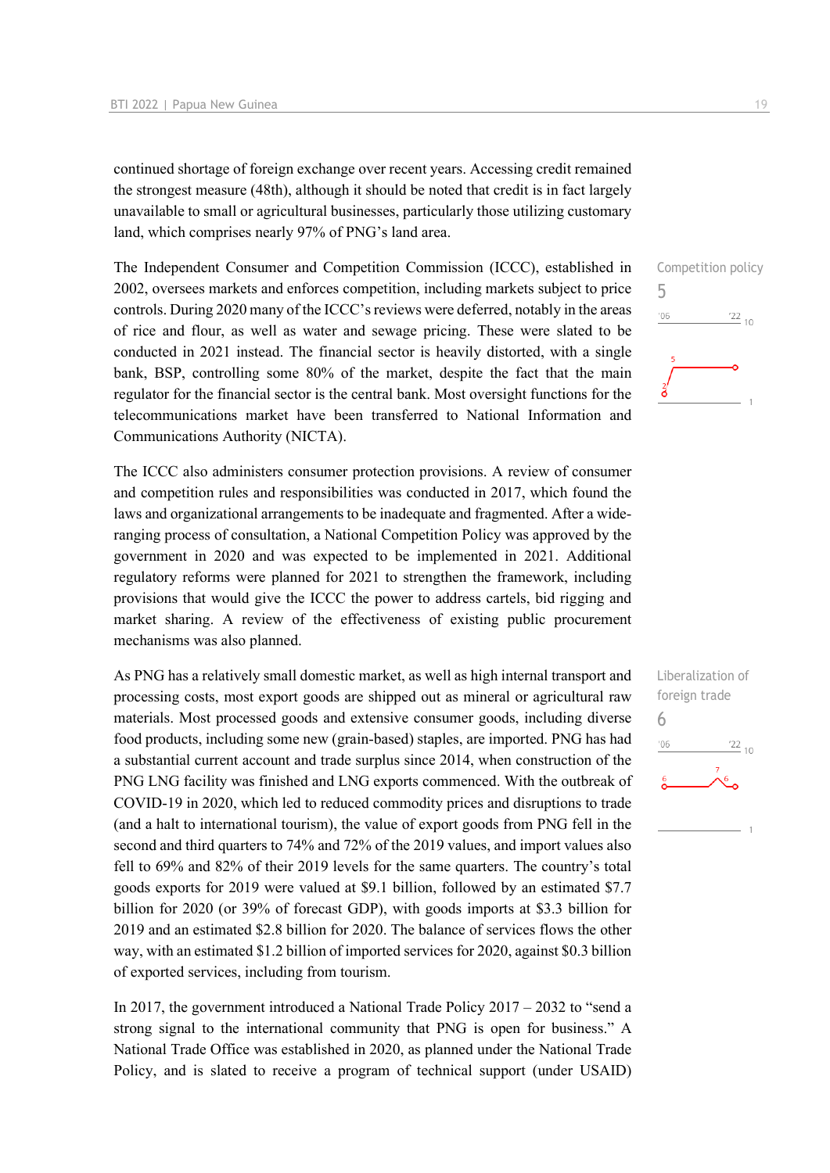continued shortage of foreign exchange over recent years. Accessing credit remained the strongest measure (48th), although it should be noted that credit is in fact largely unavailable to small or agricultural businesses, particularly those utilizing customary land, which comprises nearly 97% of PNG's land area.

The Independent Consumer and Competition Commission (ICCC), established in 2002, oversees markets and enforces competition, including markets subject to price controls. During 2020 many of the ICCC's reviews were deferred, notably in the areas of rice and flour, as well as water and sewage pricing. These were slated to be conducted in 2021 instead. The financial sector is heavily distorted, with a single bank, BSP, controlling some 80% of the market, despite the fact that the main regulator for the financial sector is the central bank. Most oversight functions for the telecommunications market have been transferred to National Information and Communications Authority (NICTA).

The ICCC also administers consumer protection provisions. A review of consumer and competition rules and responsibilities was conducted in 2017, which found the laws and organizational arrangements to be inadequate and fragmented. After a wideranging process of consultation, a National Competition Policy was approved by the government in 2020 and was expected to be implemented in 2021. Additional regulatory reforms were planned for 2021 to strengthen the framework, including provisions that would give the ICCC the power to address cartels, bid rigging and market sharing. A review of the effectiveness of existing public procurement mechanisms was also planned.

As PNG has a relatively small domestic market, as well as high internal transport and processing costs, most export goods are shipped out as mineral or agricultural raw materials. Most processed goods and extensive consumer goods, including diverse food products, including some new (grain-based) staples, are imported. PNG has had a substantial current account and trade surplus since 2014, when construction of the PNG LNG facility was finished and LNG exports commenced. With the outbreak of COVID-19 in 2020, which led to reduced commodity prices and disruptions to trade (and a halt to international tourism), the value of export goods from PNG fell in the second and third quarters to 74% and 72% of the 2019 values, and import values also fell to 69% and 82% of their 2019 levels for the same quarters. The country's total goods exports for 2019 were valued at \$9.1 billion, followed by an estimated \$7.7 billion for 2020 (or 39% of forecast GDP), with goods imports at \$3.3 billion for 2019 and an estimated \$2.8 billion for 2020. The balance of services flows the other way, with an estimated \$1.2 billion of imported services for 2020, against \$0.3 billion of exported services, including from tourism.

In 2017, the government introduced a National Trade Policy 2017 – 2032 to "send a strong signal to the international community that PNG is open for business." A National Trade Office was established in 2020, as planned under the National Trade Policy, and is slated to receive a program of technical support (under USAID)



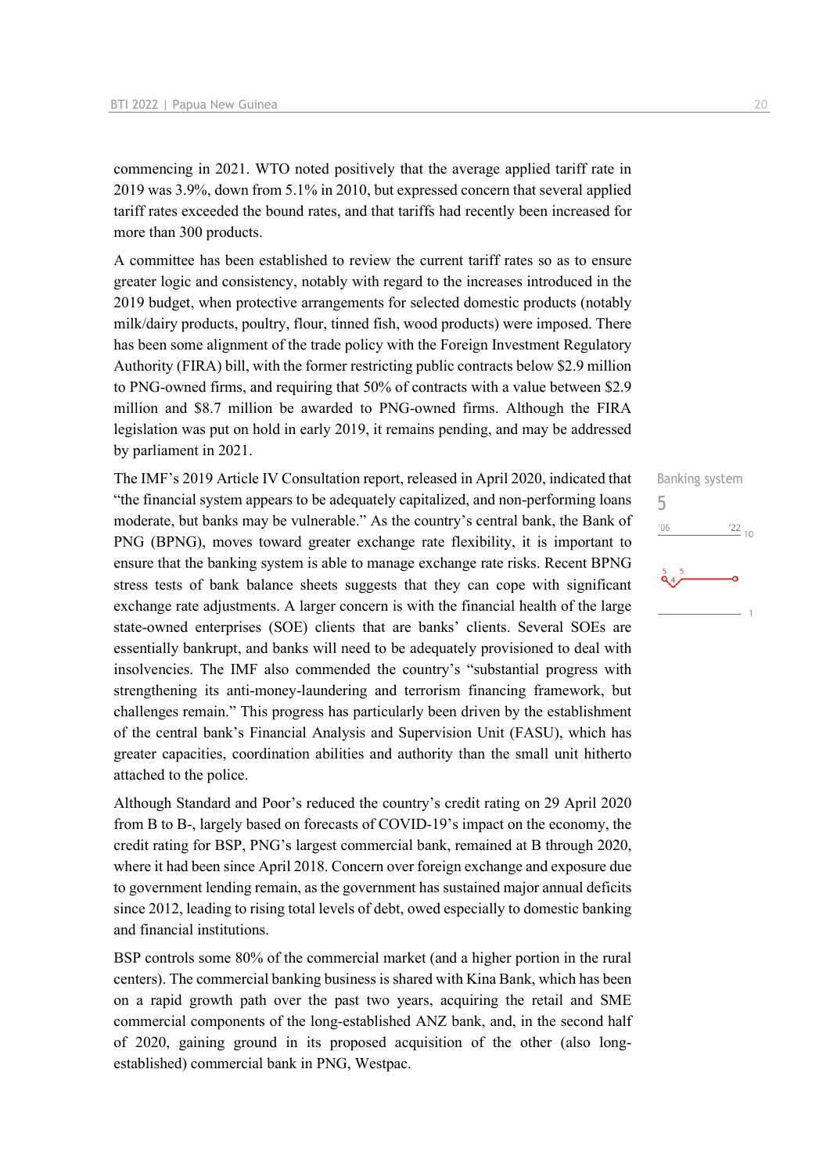commencing in 2021. WTO noted positively that the average applied tariff rate in 2019 was 3.9%, down from 5.1% in 2010, but expressed concern that several applied tariff rates exceeded the bound rates, and that tariffs had recently been increased for more than 300 products.

A committee has been established to review the current tariff rates so as to ensure greater logic and consistency, notably with regard to the increases introduced in the 2019 budget, when protective arrangements for selected domestic products (notably milk/dairy products, poultry, flour, tinned fish, wood products) were imposed. There has been some alignment of the trade policy with the Foreign Investment Regulatory Authority (FIRA) bill, with the former restricting public contracts below \$2.9 million to PNG-owned firms, and requiring that 50% of contracts with a value between \$2.9 million and \$8.7 million be awarded to PNG-owned firms. Although the FIRA legislation was put on hold in early 2019, it remains pending, and may be addressed by parliament in 2021.

The IMF's 2019 Article IV Consultation report, released in April 2020, indicated that "the financial system appears to be adequately capitalized, and non-performing loans moderate, but banks may be vulnerable." As the country's central bank, the Bank of PNG (BPNG), moves toward greater exchange rate flexibility, it is important to ensure that the banking system is able to manage exchange rate risks. Recent BPNG stress tests of bank balance sheets suggests that they can cope with significant exchange rate adjustments. A larger concern is with the financial health of the large state-owned enterprises (SOE) clients that are banks' clients. Several SOEs are essentially bankrupt, and banks will need to be adequately provisioned to deal with insolvencies. The IMF also commended the country's "substantial progress with strengthening its anti-money-laundering and terrorism financing framework, but challenges remain." This progress has particularly been driven by the establishment of the central bank's Financial Analysis and Supervision Unit (FASU), which has greater capacities, coordination abilities and authority than the small unit hitherto attached to the police.

Although Standard and Poor's reduced the country's credit rating on 29 April 2020 from B to B-, largely based on forecasts of COVID-19's impact on the economy, the credit rating for BSP, PNG's largest commercial bank, remained at B through 2020, where it had been since April 2018. Concern over foreign exchange and exposure due to government lending remain, as the government has sustained major annual deficits since 2012, leading to rising total levels of debt, owed especially to domestic banking and financial institutions.

BSP controls some 80% of the commercial market (and a higher portion in the rural centers). The commercial banking business is shared with Kina Bank, which has been on a rapid growth path over the past two years, acquiring the retail and SME commercial components of the long-established ANZ bank, and, in the second half of 2020, gaining ground in its proposed acquisition of the other (also longestablished) commercial bank in PNG, Westpac.

Banking system 5'06  $\frac{22}{10}$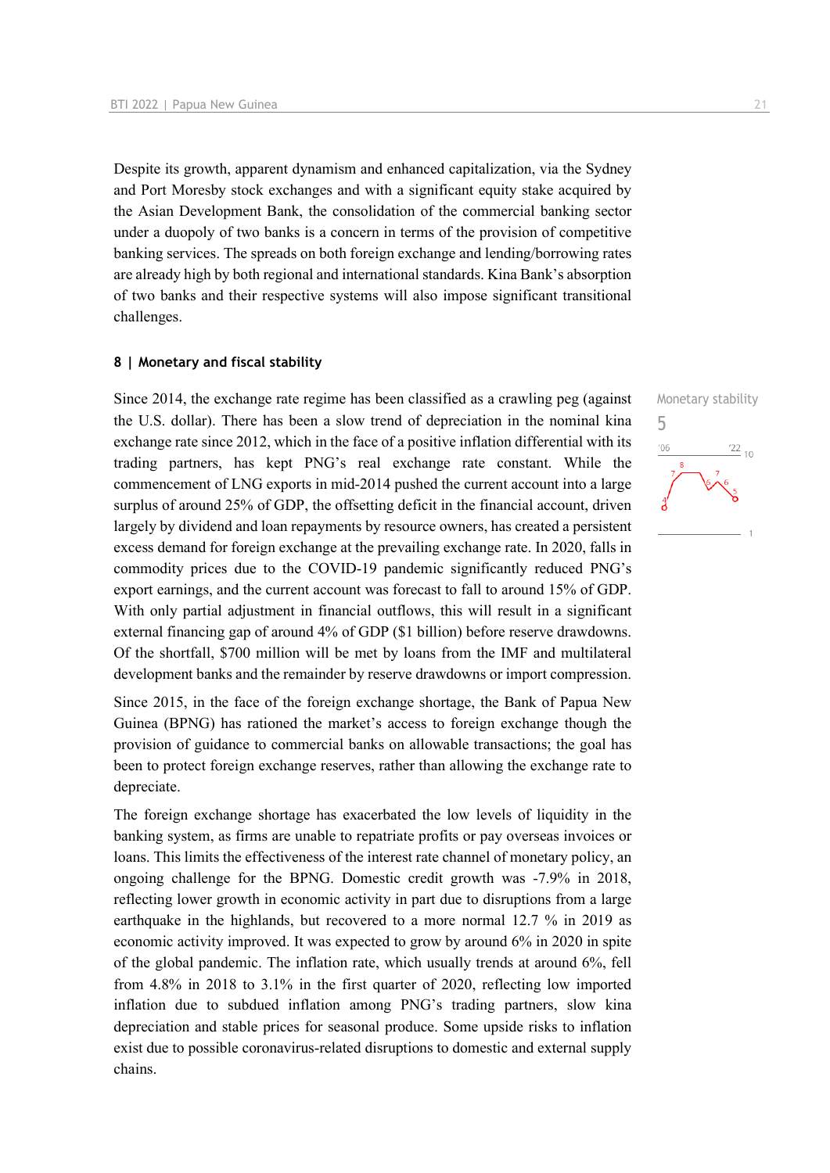Despite its growth, apparent dynamism and enhanced capitalization, via the Sydney and Port Moresby stock exchanges and with a significant equity stake acquired by the Asian Development Bank, the consolidation of the commercial banking sector under a duopoly of two banks is a concern in terms of the provision of competitive banking services. The spreads on both foreign exchange and lending/borrowing rates are already high by both regional and international standards. Kina Bank's absorption of two banks and their respective systems will also impose significant transitional challenges.

#### **8 | Monetary and fiscal stability**

Since 2014, the exchange rate regime has been classified as a crawling peg (against the U.S. dollar). There has been a slow trend of depreciation in the nominal kina exchange rate since 2012, which in the face of a positive inflation differential with its trading partners, has kept PNG's real exchange rate constant. While the commencement of LNG exports in mid-2014 pushed the current account into a large surplus of around 25% of GDP, the offsetting deficit in the financial account, driven largely by dividend and loan repayments by resource owners, has created a persistent excess demand for foreign exchange at the prevailing exchange rate. In 2020, falls in commodity prices due to the COVID-19 pandemic significantly reduced PNG's export earnings, and the current account was forecast to fall to around 15% of GDP. With only partial adjustment in financial outflows, this will result in a significant external financing gap of around 4% of GDP (\$1 billion) before reserve drawdowns. Of the shortfall, \$700 million will be met by loans from the IMF and multilateral development banks and the remainder by reserve drawdowns or import compression.

Since 2015, in the face of the foreign exchange shortage, the Bank of Papua New Guinea (BPNG) has rationed the market's access to foreign exchange though the provision of guidance to commercial banks on allowable transactions; the goal has been to protect foreign exchange reserves, rather than allowing the exchange rate to depreciate.

The foreign exchange shortage has exacerbated the low levels of liquidity in the banking system, as firms are unable to repatriate profits or pay overseas invoices or loans. This limits the effectiveness of the interest rate channel of monetary policy, an ongoing challenge for the BPNG. Domestic credit growth was -7.9% in 2018, reflecting lower growth in economic activity in part due to disruptions from a large earthquake in the highlands, but recovered to a more normal 12.7 % in 2019 as economic activity improved. It was expected to grow by around 6% in 2020 in spite of the global pandemic. The inflation rate, which usually trends at around 6%, fell from 4.8% in 2018 to 3.1% in the first quarter of 2020, reflecting low imported inflation due to subdued inflation among PNG's trading partners, slow kina depreciation and stable prices for seasonal produce. Some upside risks to inflation exist due to possible coronavirus-related disruptions to domestic and external supply chains.

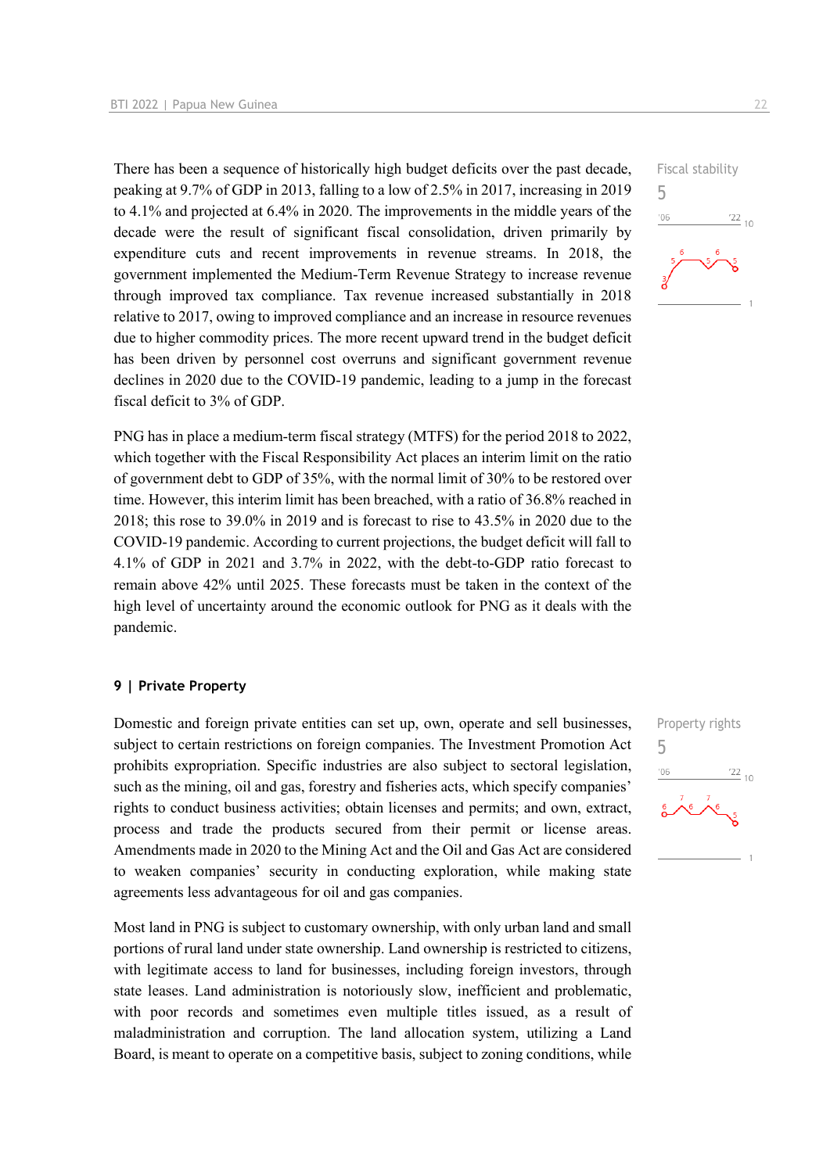There has been a sequence of historically high budget deficits over the past decade, peaking at 9.7% of GDP in 2013, falling to a low of 2.5% in 2017, increasing in 2019 to 4.1% and projected at 6.4% in 2020. The improvements in the middle years of the decade were the result of significant fiscal consolidation, driven primarily by expenditure cuts and recent improvements in revenue streams. In 2018, the government implemented the Medium-Term Revenue Strategy to increase revenue through improved tax compliance. Tax revenue increased substantially in 2018 relative to 2017, owing to improved compliance and an increase in resource revenues due to higher commodity prices. The more recent upward trend in the budget deficit has been driven by personnel cost overruns and significant government revenue declines in 2020 due to the COVID-19 pandemic, leading to a jump in the forecast fiscal deficit to 3% of GDP.

PNG has in place a medium-term fiscal strategy (MTFS) for the period 2018 to 2022, which together with the Fiscal Responsibility Act places an interim limit on the ratio of government debt to GDP of 35%, with the normal limit of 30% to be restored over time. However, this interim limit has been breached, with a ratio of 36.8% reached in 2018; this rose to 39.0% in 2019 and is forecast to rise to 43.5% in 2020 due to the COVID-19 pandemic. According to current projections, the budget deficit will fall to 4.1% of GDP in 2021 and 3.7% in 2022, with the debt-to-GDP ratio forecast to remain above 42% until 2025. These forecasts must be taken in the context of the high level of uncertainty around the economic outlook for PNG as it deals with the pandemic.

#### **9 | Private Property**

Domestic and foreign private entities can set up, own, operate and sell businesses, subject to certain restrictions on foreign companies. The Investment Promotion Act prohibits expropriation. Specific industries are also subject to sectoral legislation, such as the mining, oil and gas, forestry and fisheries acts, which specify companies' rights to conduct business activities; obtain licenses and permits; and own, extract, process and trade the products secured from their permit or license areas. Amendments made in 2020 to the Mining Act and the Oil and Gas Act are considered to weaken companies' security in conducting exploration, while making state agreements less advantageous for oil and gas companies.

Most land in PNG is subject to customary ownership, with only urban land and small portions of rural land under state ownership. Land ownership is restricted to citizens, with legitimate access to land for businesses, including foreign investors, through state leases. Land administration is notoriously slow, inefficient and problematic, with poor records and sometimes even multiple titles issued, as a result of maladministration and corruption. The land allocation system, utilizing a Land Board, is meant to operate on a competitive basis, subject to zoning conditions, while



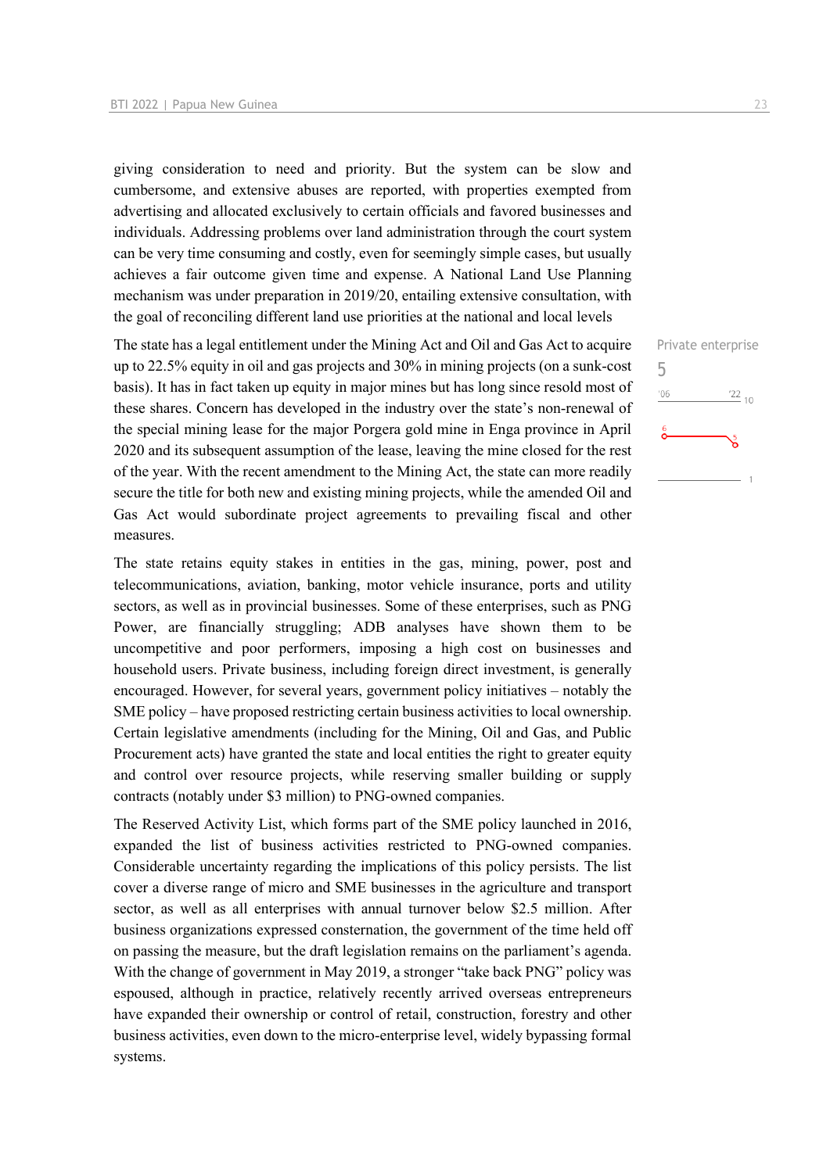giving consideration to need and priority. But the system can be slow and cumbersome, and extensive abuses are reported, with properties exempted from advertising and allocated exclusively to certain officials and favored businesses and individuals. Addressing problems over land administration through the court system can be very time consuming and costly, even for seemingly simple cases, but usually achieves a fair outcome given time and expense. A National Land Use Planning mechanism was under preparation in 2019/20, entailing extensive consultation, with the goal of reconciling different land use priorities at the national and local levels

The state has a legal entitlement under the Mining Act and Oil and Gas Act to acquire up to 22.5% equity in oil and gas projects and 30% in mining projects (on a sunk-cost basis). It has in fact taken up equity in major mines but has long since resold most of these shares. Concern has developed in the industry over the state's non-renewal of the special mining lease for the major Porgera gold mine in Enga province in April 2020 and its subsequent assumption of the lease, leaving the mine closed for the rest of the year. With the recent amendment to the Mining Act, the state can more readily secure the title for both new and existing mining projects, while the amended Oil and Gas Act would subordinate project agreements to prevailing fiscal and other measures.

The state retains equity stakes in entities in the gas, mining, power, post and telecommunications, aviation, banking, motor vehicle insurance, ports and utility sectors, as well as in provincial businesses. Some of these enterprises, such as PNG Power, are financially struggling; ADB analyses have shown them to be uncompetitive and poor performers, imposing a high cost on businesses and household users. Private business, including foreign direct investment, is generally encouraged. However, for several years, government policy initiatives – notably the SME policy – have proposed restricting certain business activities to local ownership. Certain legislative amendments (including for the Mining, Oil and Gas, and Public Procurement acts) have granted the state and local entities the right to greater equity and control over resource projects, while reserving smaller building or supply contracts (notably under \$3 million) to PNG-owned companies.

The Reserved Activity List, which forms part of the SME policy launched in 2016, expanded the list of business activities restricted to PNG-owned companies. Considerable uncertainty regarding the implications of this policy persists. The list cover a diverse range of micro and SME businesses in the agriculture and transport sector, as well as all enterprises with annual turnover below \$2.5 million. After business organizations expressed consternation, the government of the time held off on passing the measure, but the draft legislation remains on the parliament's agenda. With the change of government in May 2019, a stronger "take back PNG" policy was espoused, although in practice, relatively recently arrived overseas entrepreneurs have expanded their ownership or control of retail, construction, forestry and other business activities, even down to the micro-enterprise level, widely bypassing formal systems.

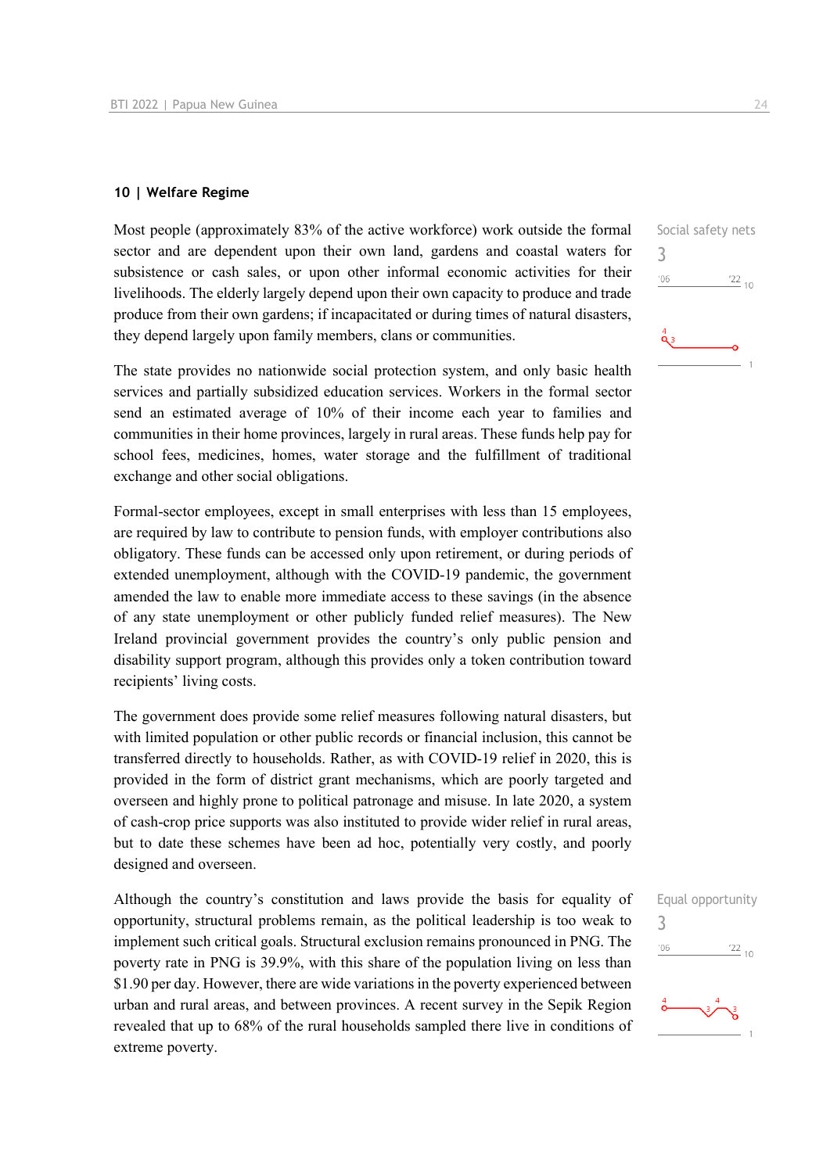#### **10 | Welfare Regime**

Most people (approximately 83% of the active workforce) work outside the formal sector and are dependent upon their own land, gardens and coastal waters for subsistence or cash sales, or upon other informal economic activities for their livelihoods. The elderly largely depend upon their own capacity to produce and trade produce from their own gardens; if incapacitated or during times of natural disasters, they depend largely upon family members, clans or communities.

The state provides no nationwide social protection system, and only basic health services and partially subsidized education services. Workers in the formal sector send an estimated average of 10% of their income each year to families and communities in their home provinces, largely in rural areas. These funds help pay for school fees, medicines, homes, water storage and the fulfillment of traditional exchange and other social obligations.

Formal-sector employees, except in small enterprises with less than 15 employees, are required by law to contribute to pension funds, with employer contributions also obligatory. These funds can be accessed only upon retirement, or during periods of extended unemployment, although with the COVID-19 pandemic, the government amended the law to enable more immediate access to these savings (in the absence of any state unemployment or other publicly funded relief measures). The New Ireland provincial government provides the country's only public pension and disability support program, although this provides only a token contribution toward recipients' living costs.

The government does provide some relief measures following natural disasters, but with limited population or other public records or financial inclusion, this cannot be transferred directly to households. Rather, as with COVID-19 relief in 2020, this is provided in the form of district grant mechanisms, which are poorly targeted and overseen and highly prone to political patronage and misuse. In late 2020, a system of cash-crop price supports was also instituted to provide wider relief in rural areas, but to date these schemes have been ad hoc, potentially very costly, and poorly designed and overseen.

Although the country's constitution and laws provide the basis for equality of opportunity, structural problems remain, as the political leadership is too weak to implement such critical goals. Structural exclusion remains pronounced in PNG. The poverty rate in PNG is 39.9%, with this share of the population living on less than \$1.90 per day. However, there are wide variations in the poverty experienced between urban and rural areas, and between provinces. A recent survey in the Sepik Region revealed that up to 68% of the rural households sampled there live in conditions of extreme poverty.

Social safety nets 3  $'06$  $122_{10}$  $\ddot{\mathbf{Q}}$  3

| 3   | Equal opportunity |
|-----|-------------------|
| '06 | $\frac{22}{10}$   |
|     | 3                 |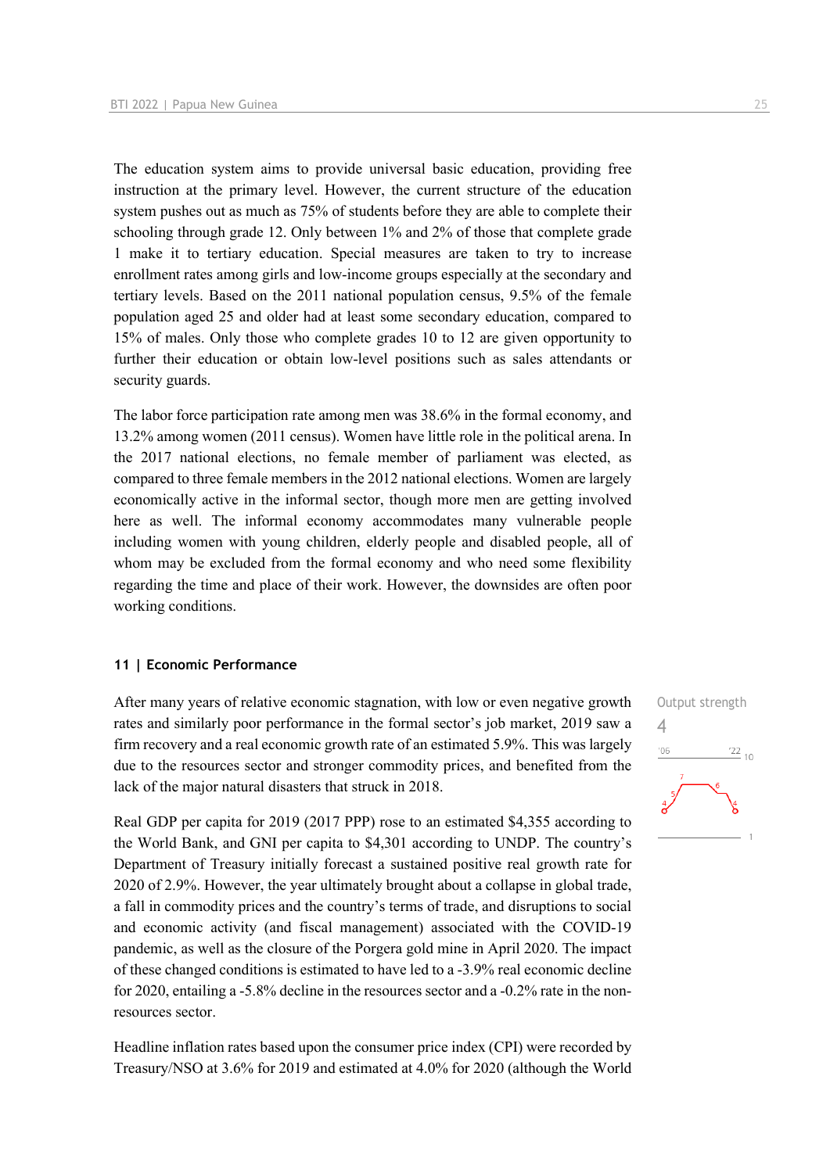The education system aims to provide universal basic education, providing free instruction at the primary level. However, the current structure of the education system pushes out as much as 75% of students before they are able to complete their schooling through grade 12. Only between 1% and 2% of those that complete grade 1 make it to tertiary education. Special measures are taken to try to increase enrollment rates among girls and low-income groups especially at the secondary and tertiary levels. Based on the 2011 national population census, 9.5% of the female population aged 25 and older had at least some secondary education, compared to 15% of males. Only those who complete grades 10 to 12 are given opportunity to further their education or obtain low-level positions such as sales attendants or security guards.

The labor force participation rate among men was 38.6% in the formal economy, and 13.2% among women (2011 census). Women have little role in the political arena. In the 2017 national elections, no female member of parliament was elected, as compared to three female members in the 2012 national elections. Women are largely economically active in the informal sector, though more men are getting involved here as well. The informal economy accommodates many vulnerable people including women with young children, elderly people and disabled people, all of whom may be excluded from the formal economy and who need some flexibility regarding the time and place of their work. However, the downsides are often poor working conditions.

#### **11 | Economic Performance**

After many years of relative economic stagnation, with low or even negative growth rates and similarly poor performance in the formal sector's job market, 2019 saw a firm recovery and a real economic growth rate of an estimated 5.9%. This was largely due to the resources sector and stronger commodity prices, and benefited from the lack of the major natural disasters that struck in 2018.

Real GDP per capita for 2019 (2017 PPP) rose to an estimated \$4,355 according to the World Bank, and GNI per capita to \$4,301 according to UNDP. The country's Department of Treasury initially forecast a sustained positive real growth rate for 2020 of 2.9%. However, the year ultimately brought about a collapse in global trade, a fall in commodity prices and the country's terms of trade, and disruptions to social and economic activity (and fiscal management) associated with the COVID-19 pandemic, as well as the closure of the Porgera gold mine in April 2020. The impact of these changed conditions is estimated to have led to a -3.9% real economic decline for 2020, entailing a -5.8% decline in the resources sector and a -0.2% rate in the nonresources sector.

Headline inflation rates based upon the consumer price index (CPI) were recorded by Treasury/NSO at 3.6% for 2019 and estimated at 4.0% for 2020 (although the World

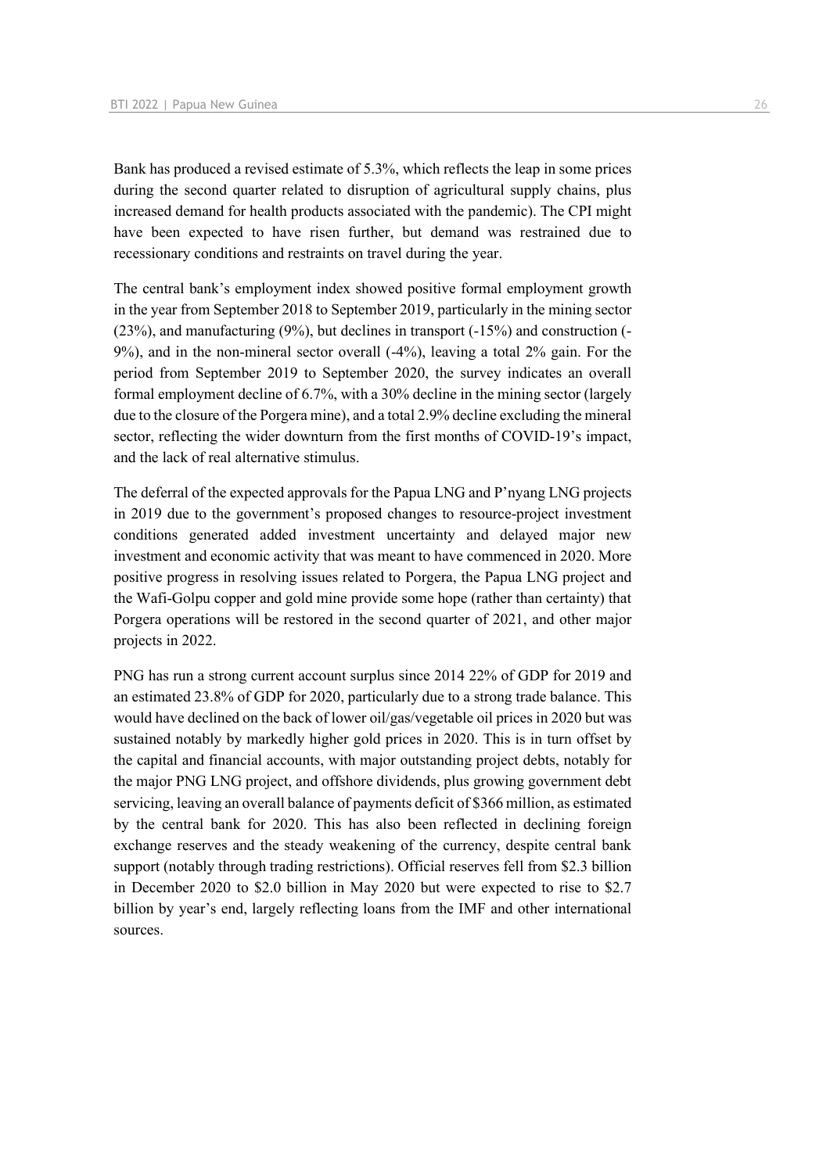Bank has produced a revised estimate of 5.3%, which reflects the leap in some prices during the second quarter related to disruption of agricultural supply chains, plus increased demand for health products associated with the pandemic). The CPI might have been expected to have risen further, but demand was restrained due to recessionary conditions and restraints on travel during the year.

The central bank's employment index showed positive formal employment growth in the year from September 2018 to September 2019, particularly in the mining sector (23%), and manufacturing (9%), but declines in transport (-15%) and construction (- 9%), and in the non-mineral sector overall (-4%), leaving a total 2% gain. For the period from September 2019 to September 2020, the survey indicates an overall formal employment decline of 6.7%, with a 30% decline in the mining sector (largely due to the closure of the Porgera mine), and a total 2.9% decline excluding the mineral sector, reflecting the wider downturn from the first months of COVID-19's impact, and the lack of real alternative stimulus.

The deferral of the expected approvals for the Papua LNG and P'nyang LNG projects in 2019 due to the government's proposed changes to resource-project investment conditions generated added investment uncertainty and delayed major new investment and economic activity that was meant to have commenced in 2020. More positive progress in resolving issues related to Porgera, the Papua LNG project and the Wafi-Golpu copper and gold mine provide some hope (rather than certainty) that Porgera operations will be restored in the second quarter of 2021, and other major projects in 2022.

PNG has run a strong current account surplus since 2014 22% of GDP for 2019 and an estimated 23.8% of GDP for 2020, particularly due to a strong trade balance. This would have declined on the back of lower oil/gas/vegetable oil prices in 2020 but was sustained notably by markedly higher gold prices in 2020. This is in turn offset by the capital and financial accounts, with major outstanding project debts, notably for the major PNG LNG project, and offshore dividends, plus growing government debt servicing, leaving an overall balance of payments deficit of \$366 million, as estimated by the central bank for 2020. This has also been reflected in declining foreign exchange reserves and the steady weakening of the currency, despite central bank support (notably through trading restrictions). Official reserves fell from \$2.3 billion in December 2020 to \$2.0 billion in May 2020 but were expected to rise to \$2.7 billion by year's end, largely reflecting loans from the IMF and other international sources.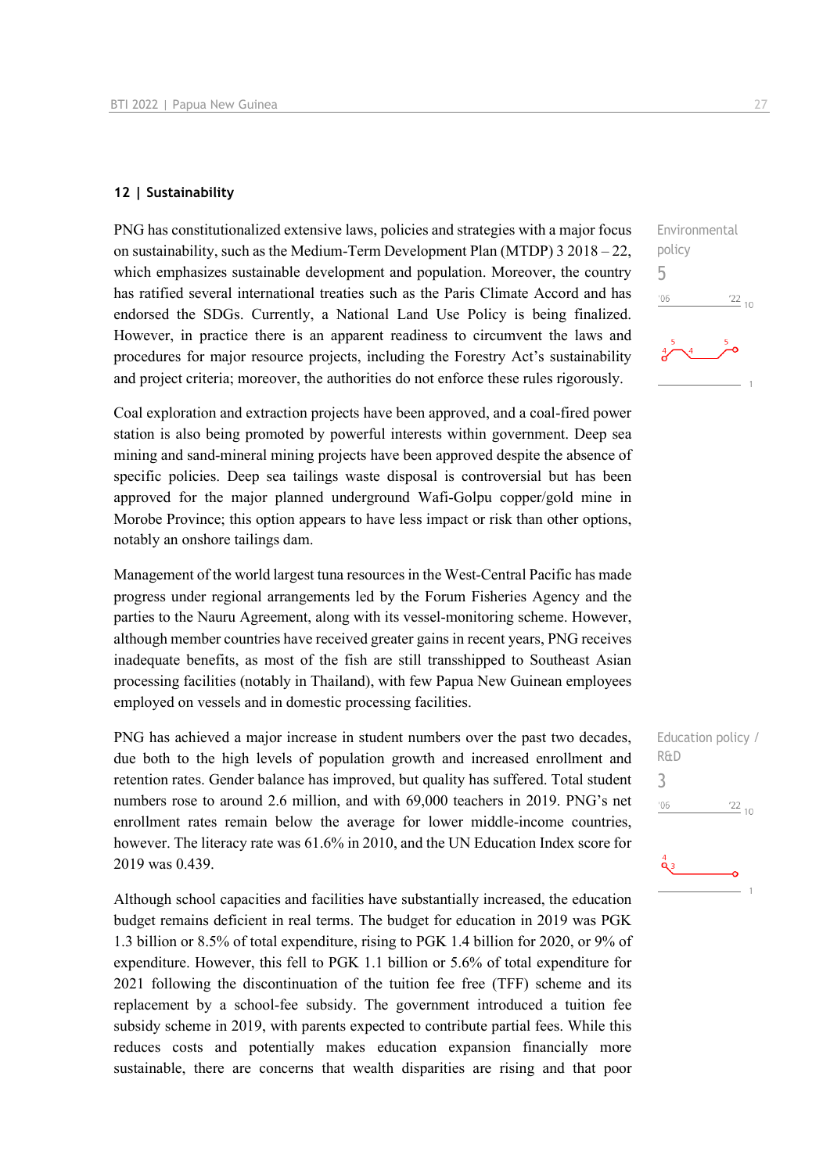#### **12 | Sustainability**

PNG has constitutionalized extensive laws, policies and strategies with a major focus on sustainability, such as the Medium-Term Development Plan (MTDP) 3 2018 – 22, which emphasizes sustainable development and population. Moreover, the country has ratified several international treaties such as the Paris Climate Accord and has endorsed the SDGs. Currently, a National Land Use Policy is being finalized. However, in practice there is an apparent readiness to circumvent the laws and procedures for major resource projects, including the Forestry Act's sustainability and project criteria; moreover, the authorities do not enforce these rules rigorously.

Coal exploration and extraction projects have been approved, and a coal-fired power station is also being promoted by powerful interests within government. Deep sea mining and sand-mineral mining projects have been approved despite the absence of specific policies. Deep sea tailings waste disposal is controversial but has been approved for the major planned underground Wafi-Golpu copper/gold mine in Morobe Province; this option appears to have less impact or risk than other options, notably an onshore tailings dam.

Management of the world largest tuna resources in the West-Central Pacific has made progress under regional arrangements led by the Forum Fisheries Agency and the parties to the Nauru Agreement, along with its vessel-monitoring scheme. However, although member countries have received greater gains in recent years, PNG receives inadequate benefits, as most of the fish are still transshipped to Southeast Asian processing facilities (notably in Thailand), with few Papua New Guinean employees employed on vessels and in domestic processing facilities.

PNG has achieved a major increase in student numbers over the past two decades, due both to the high levels of population growth and increased enrollment and retention rates. Gender balance has improved, but quality has suffered. Total student numbers rose to around 2.6 million, and with 69,000 teachers in 2019. PNG's net enrollment rates remain below the average for lower middle-income countries, however. The literacy rate was 61.6% in 2010, and the UN Education Index score for 2019 was 0.439.

Although school capacities and facilities have substantially increased, the education budget remains deficient in real terms. The budget for education in 2019 was PGK 1.3 billion or 8.5% of total expenditure, rising to PGK 1.4 billion for 2020, or 9% of expenditure. However, this fell to PGK 1.1 billion or 5.6% of total expenditure for 2021 following the discontinuation of the tuition fee free (TFF) scheme and its replacement by a school-fee subsidy. The government introduced a tuition fee subsidy scheme in 2019, with parents expected to contribute partial fees. While this reduces costs and potentially makes education expansion financially more sustainable, there are concerns that wealth disparities are rising and that poor



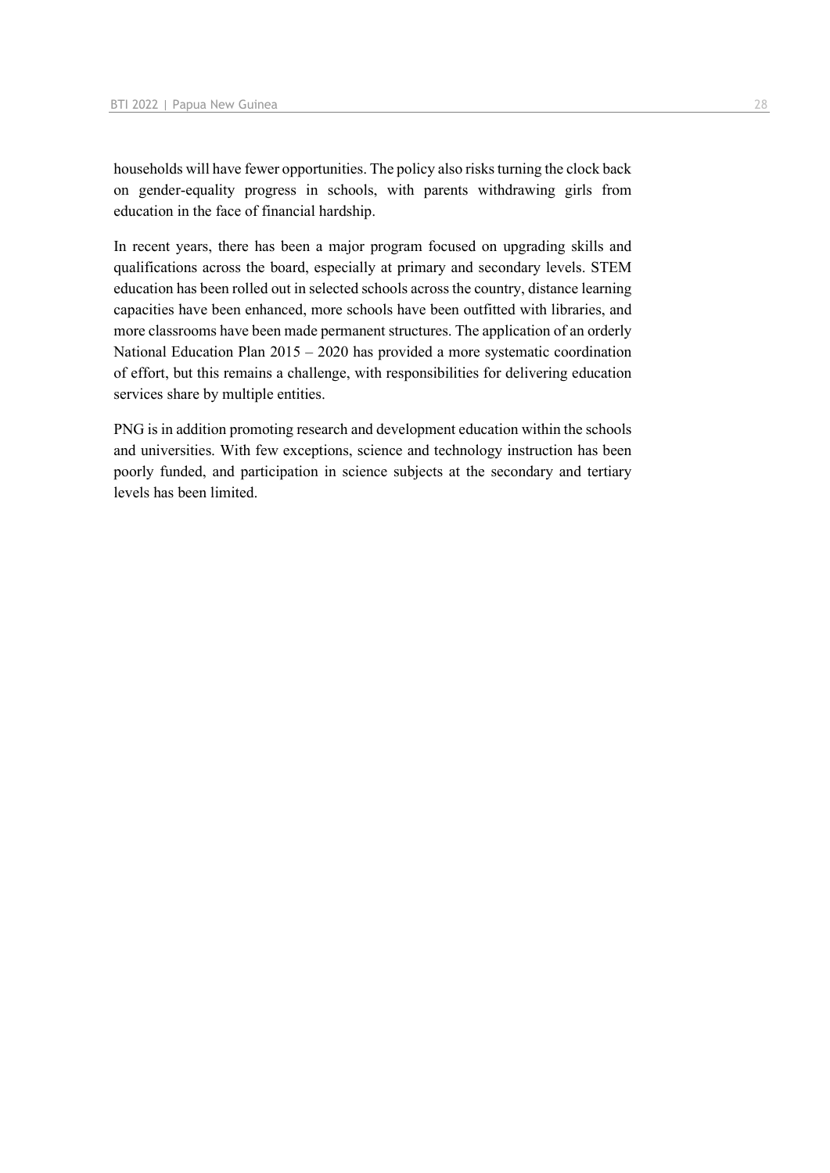households will have fewer opportunities. The policy also risks turning the clock back on gender-equality progress in schools, with parents withdrawing girls from education in the face of financial hardship.

In recent years, there has been a major program focused on upgrading skills and qualifications across the board, especially at primary and secondary levels. STEM education has been rolled out in selected schools across the country, distance learning capacities have been enhanced, more schools have been outfitted with libraries, and more classrooms have been made permanent structures. The application of an orderly National Education Plan 2015 – 2020 has provided a more systematic coordination of effort, but this remains a challenge, with responsibilities for delivering education services share by multiple entities.

PNG is in addition promoting research and development education within the schools and universities. With few exceptions, science and technology instruction has been poorly funded, and participation in science subjects at the secondary and tertiary levels has been limited.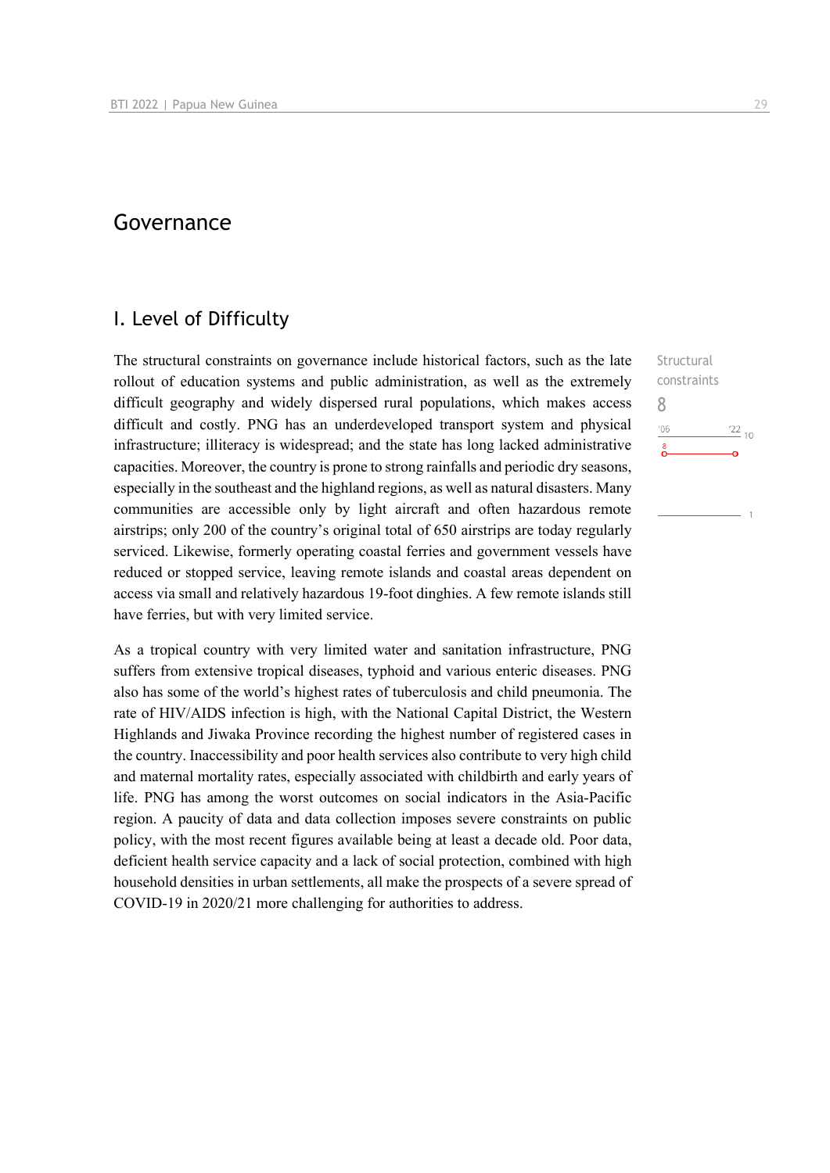## Governance

### I. Level of Difficulty

The structural constraints on governance include historical factors, such as the late rollout of education systems and public administration, as well as the extremely difficult geography and widely dispersed rural populations, which makes access difficult and costly. PNG has an underdeveloped transport system and physical infrastructure; illiteracy is widespread; and the state has long lacked administrative capacities. Moreover, the country is prone to strong rainfalls and periodic dry seasons, especially in the southeast and the highland regions, as well as natural disasters. Many communities are accessible only by light aircraft and often hazardous remote airstrips; only 200 of the country's original total of 650 airstrips are today regularly serviced. Likewise, formerly operating coastal ferries and government vessels have reduced or stopped service, leaving remote islands and coastal areas dependent on access via small and relatively hazardous 19-foot dinghies. A few remote islands still have ferries, but with very limited service.

As a tropical country with very limited water and sanitation infrastructure, PNG suffers from extensive tropical diseases, typhoid and various enteric diseases. PNG also has some of the world's highest rates of tuberculosis and child pneumonia. The rate of HIV/AIDS infection is high, with the National Capital District, the Western Highlands and Jiwaka Province recording the highest number of registered cases in the country. Inaccessibility and poor health services also contribute to very high child and maternal mortality rates, especially associated with childbirth and early years of life. PNG has among the worst outcomes on social indicators in the Asia-Pacific region. A paucity of data and data collection imposes severe constraints on public policy, with the most recent figures available being at least a decade old. Poor data, deficient health service capacity and a lack of social protection, combined with high household densities in urban settlements, all make the prospects of a severe spread of COVID-19 in 2020/21 more challenging for authorities to address.

**Structural** constraints 8 $^{\prime}06$  $^{22}$  10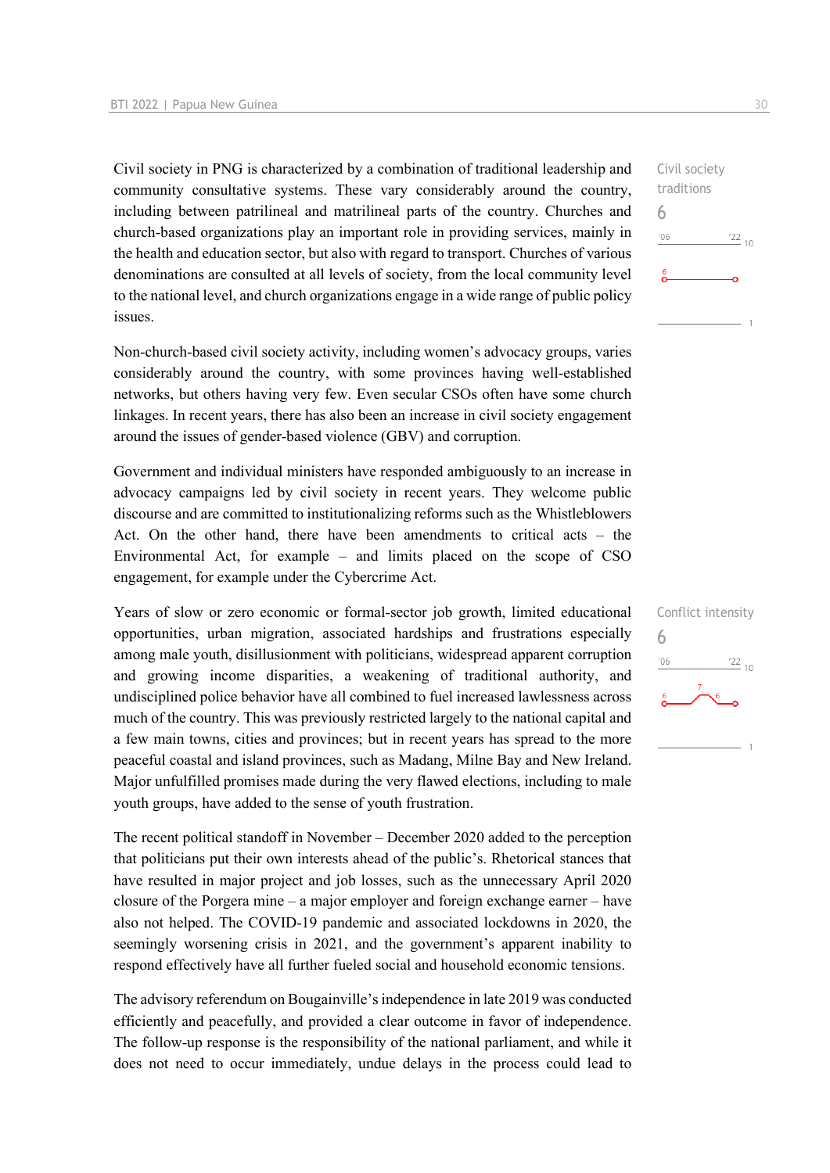Civil society in PNG is characterized by a combination of traditional leadership and community consultative systems. These vary considerably around the country, including between patrilineal and matrilineal parts of the country. Churches and church-based organizations play an important role in providing services, mainly in the health and education sector, but also with regard to transport. Churches of various denominations are consulted at all levels of society, from the local community level to the national level, and church organizations engage in a wide range of public policy issues.

Non-church-based civil society activity, including women's advocacy groups, varies considerably around the country, with some provinces having well-established networks, but others having very few. Even secular CSOs often have some church linkages. In recent years, there has also been an increase in civil society engagement around the issues of gender-based violence (GBV) and corruption.

Government and individual ministers have responded ambiguously to an increase in advocacy campaigns led by civil society in recent years. They welcome public discourse and are committed to institutionalizing reforms such as the Whistleblowers Act. On the other hand, there have been amendments to critical acts – the Environmental Act, for example – and limits placed on the scope of CSO engagement, for example under the Cybercrime Act.

Years of slow or zero economic or formal-sector job growth, limited educational opportunities, urban migration, associated hardships and frustrations especially among male youth, disillusionment with politicians, widespread apparent corruption and growing income disparities, a weakening of traditional authority, and undisciplined police behavior have all combined to fuel increased lawlessness across much of the country. This was previously restricted largely to the national capital and a few main towns, cities and provinces; but in recent years has spread to the more peaceful coastal and island provinces, such as Madang, Milne Bay and New Ireland. Major unfulfilled promises made during the very flawed elections, including to male youth groups, have added to the sense of youth frustration.

The recent political standoff in November – December 2020 added to the perception that politicians put their own interests ahead of the public's. Rhetorical stances that have resulted in major project and job losses, such as the unnecessary April 2020 closure of the Porgera mine – a major employer and foreign exchange earner – have also not helped. The COVID-19 pandemic and associated lockdowns in 2020, the seemingly worsening crisis in 2021, and the government's apparent inability to respond effectively have all further fueled social and household economic tensions.

The advisory referendum on Bougainville's independence in late 2019 was conducted efficiently and peacefully, and provided a clear outcome in favor of independence. The follow-up response is the responsibility of the national parliament, and while it does not need to occur immediately, undue delays in the process could lead to

| Conflict intensity |                 |
|--------------------|-----------------|
| h                  |                 |
| '06                | $\frac{22}{10}$ |
| 6                  | 6               |
|                    |                 |
|                    |                 |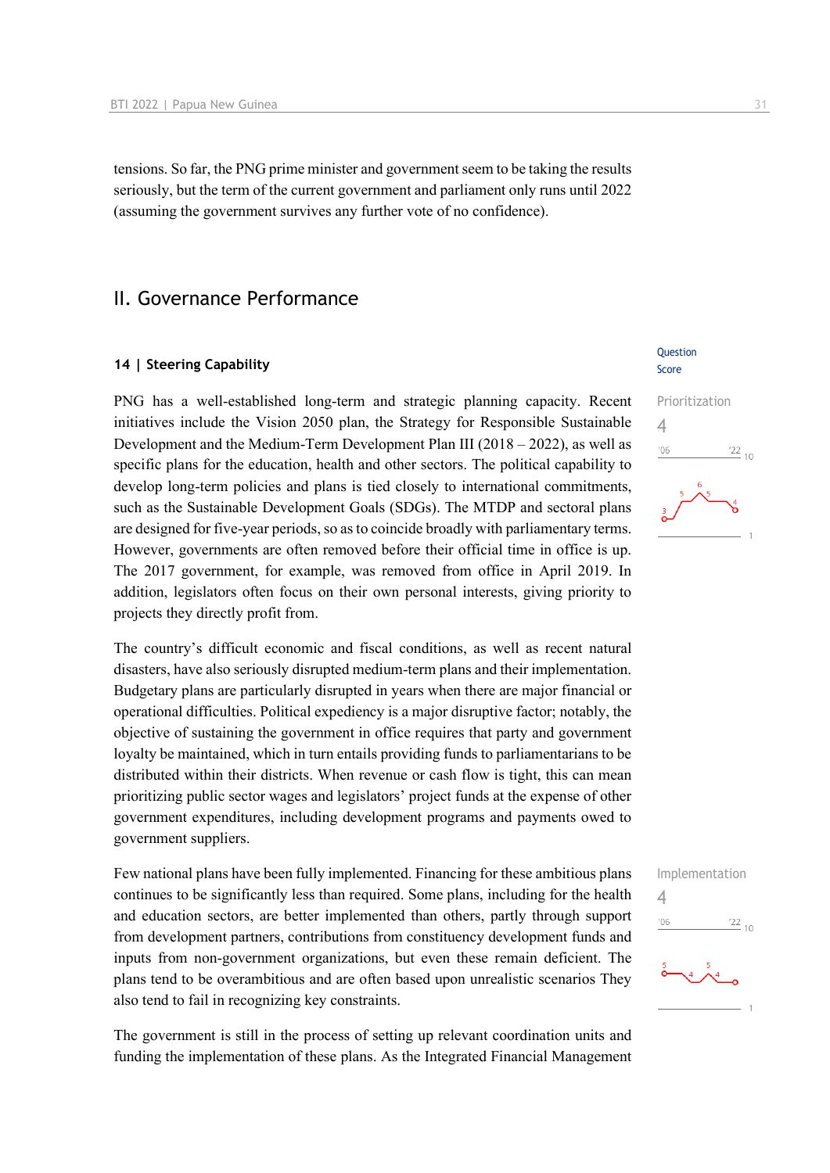tensions. So far, the PNG prime minister and government seem to be taking the results seriously, but the term of the current government and parliament only runs until 2022 (assuming the government survives any further vote of no confidence).

## II. Governance Performance

#### **14 | Steering Capability**

PNG has a well-established long-term and strategic planning capacity. Recent initiatives include the Vision 2050 plan, the Strategy for Responsible Sustainable Development and the Medium-Term Development Plan III (2018 – 2022), as well as specific plans for the education, health and other sectors. The political capability to develop long-term policies and plans is tied closely to international commitments, such as the Sustainable Development Goals (SDGs). The MTDP and sectoral plans are designed for five-year periods, so as to coincide broadly with parliamentary terms. However, governments are often removed before their official time in office is up. The 2017 government, for example, was removed from office in April 2019. In addition, legislators often focus on their own personal interests, giving priority to projects they directly profit from.

The country's difficult economic and fiscal conditions, as well as recent natural disasters, have also seriously disrupted medium-term plans and their implementation. Budgetary plans are particularly disrupted in years when there are major financial or operational difficulties. Political expediency is a major disruptive factor; notably, the objective of sustaining the government in office requires that party and government loyalty be maintained, which in turn entails providing funds to parliamentarians to be distributed within their districts. When revenue or cash flow is tight, this can mean prioritizing public sector wages and legislators' project funds at the expense of other government expenditures, including development programs and payments owed to government suppliers.

Few national plans have been fully implemented. Financing for these ambitious plans continues to be significantly less than required. Some plans, including for the health and education sectors, are better implemented than others, partly through support from development partners, contributions from constituency development funds and inputs from non-government organizations, but even these remain deficient. The plans tend to be overambitious and are often based upon unrealistic scenarios They also tend to fail in recognizing key constraints.

The government is still in the process of setting up relevant coordination units and funding the implementation of these plans. As the Integrated Financial Management

#### Question Score



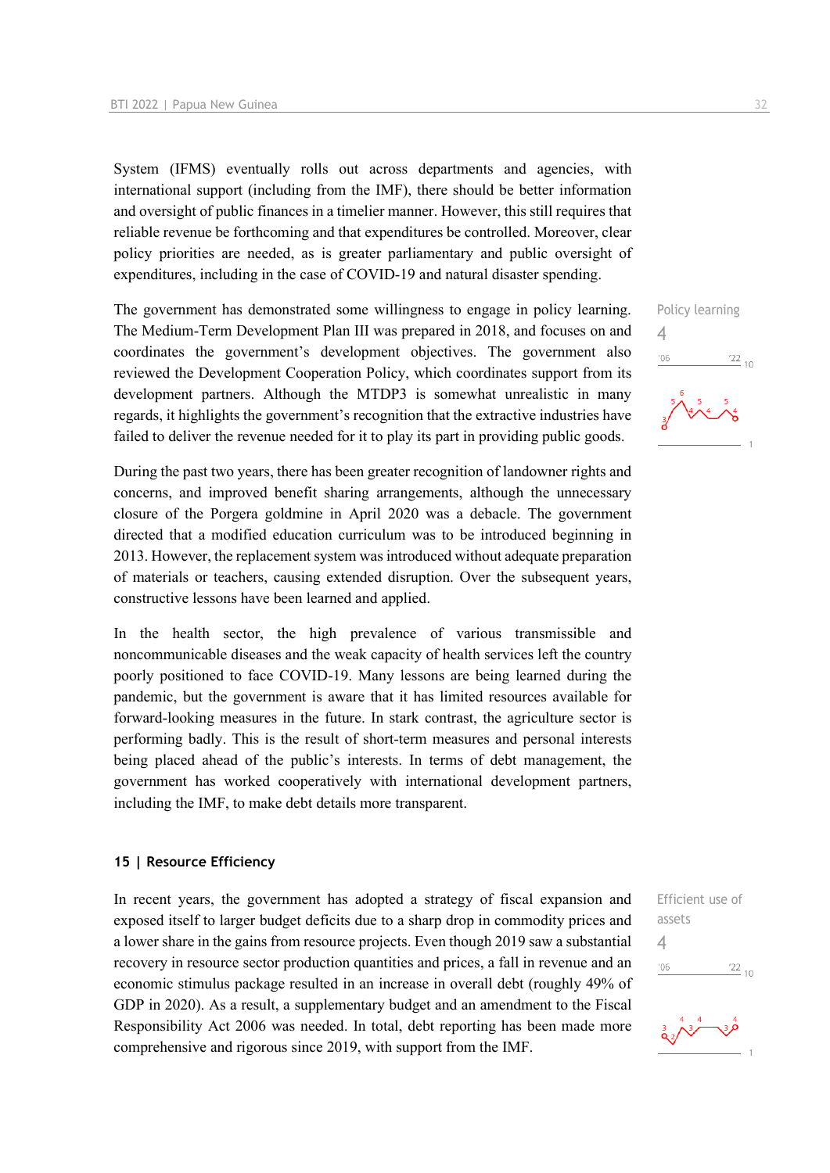System (IFMS) eventually rolls out across departments and agencies, with international support (including from the IMF), there should be better information and oversight of public finances in a timelier manner. However, this still requires that reliable revenue be forthcoming and that expenditures be controlled. Moreover, clear policy priorities are needed, as is greater parliamentary and public oversight of expenditures, including in the case of COVID-19 and natural disaster spending.

The government has demonstrated some willingness to engage in policy learning. The Medium-Term Development Plan III was prepared in 2018, and focuses on and coordinates the government's development objectives. The government also reviewed the Development Cooperation Policy, which coordinates support from its development partners. Although the MTDP3 is somewhat unrealistic in many regards, it highlights the government's recognition that the extractive industries have failed to deliver the revenue needed for it to play its part in providing public goods.

During the past two years, there has been greater recognition of landowner rights and concerns, and improved benefit sharing arrangements, although the unnecessary closure of the Porgera goldmine in April 2020 was a debacle. The government directed that a modified education curriculum was to be introduced beginning in 2013. However, the replacement system was introduced without adequate preparation of materials or teachers, causing extended disruption. Over the subsequent years, constructive lessons have been learned and applied.

In the health sector, the high prevalence of various transmissible and noncommunicable diseases and the weak capacity of health services left the country poorly positioned to face COVID-19. Many lessons are being learned during the pandemic, but the government is aware that it has limited resources available for forward-looking measures in the future. In stark contrast, the agriculture sector is performing badly. This is the result of short-term measures and personal interests being placed ahead of the public's interests. In terms of debt management, the government has worked cooperatively with international development partners, including the IMF, to make debt details more transparent.

#### **15 | Resource Efficiency**

In recent years, the government has adopted a strategy of fiscal expansion and exposed itself to larger budget deficits due to a sharp drop in commodity prices and a lower share in the gains from resource projects. Even though 2019 saw a substantial recovery in resource sector production quantities and prices, a fall in revenue and an economic stimulus package resulted in an increase in overall debt (roughly 49% of GDP in 2020). As a result, a supplementary budget and an amendment to the Fiscal Responsibility Act 2006 was needed. In total, debt reporting has been made more comprehensive and rigorous since 2019, with support from the IMF.

Policy learning  $\Delta$  $\frac{22}{10}$  $106$ 



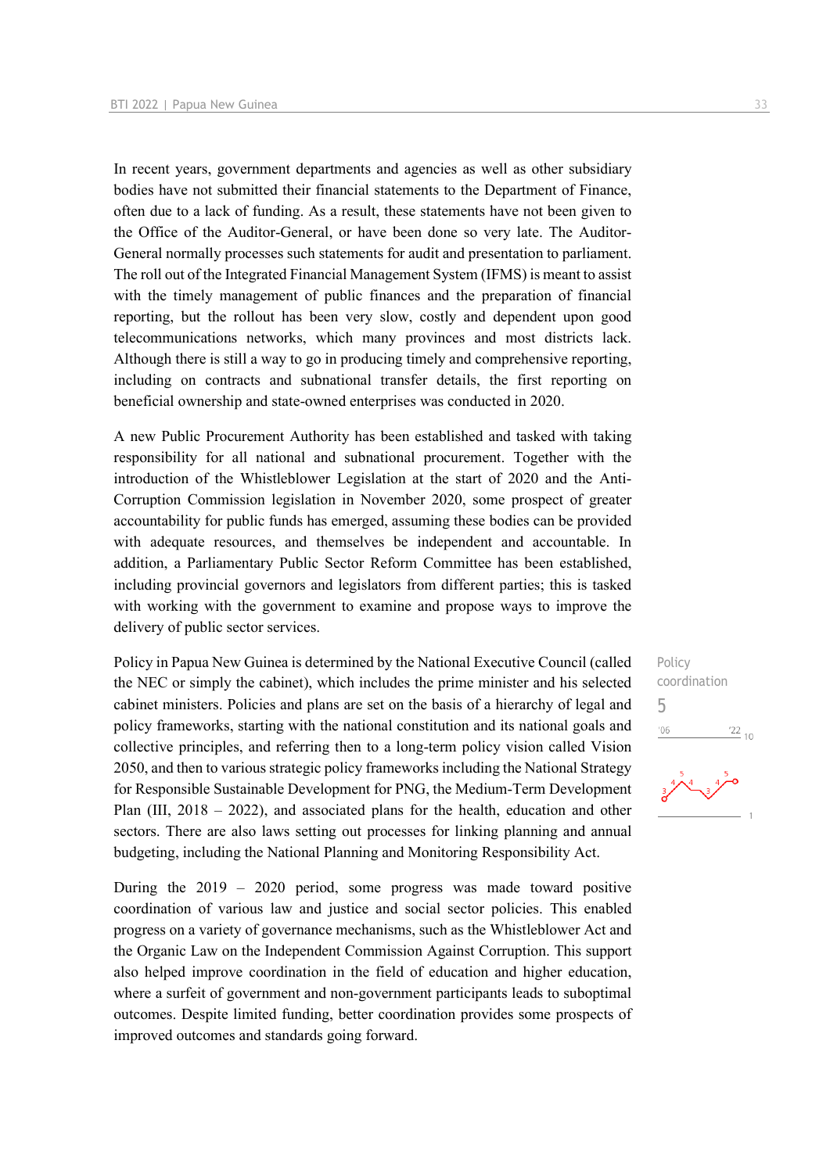In recent years, government departments and agencies as well as other subsidiary bodies have not submitted their financial statements to the Department of Finance, often due to a lack of funding. As a result, these statements have not been given to the Office of the Auditor-General, or have been done so very late. The Auditor-General normally processes such statements for audit and presentation to parliament. The roll out of the Integrated Financial Management System (IFMS) is meant to assist with the timely management of public finances and the preparation of financial reporting, but the rollout has been very slow, costly and dependent upon good telecommunications networks, which many provinces and most districts lack. Although there is still a way to go in producing timely and comprehensive reporting, including on contracts and subnational transfer details, the first reporting on beneficial ownership and state-owned enterprises was conducted in 2020.

A new Public Procurement Authority has been established and tasked with taking responsibility for all national and subnational procurement. Together with the introduction of the Whistleblower Legislation at the start of 2020 and the Anti-Corruption Commission legislation in November 2020, some prospect of greater accountability for public funds has emerged, assuming these bodies can be provided with adequate resources, and themselves be independent and accountable. In addition, a Parliamentary Public Sector Reform Committee has been established, including provincial governors and legislators from different parties; this is tasked with working with the government to examine and propose ways to improve the delivery of public sector services.

Policy in Papua New Guinea is determined by the National Executive Council (called the NEC or simply the cabinet), which includes the prime minister and his selected cabinet ministers. Policies and plans are set on the basis of a hierarchy of legal and policy frameworks, starting with the national constitution and its national goals and collective principles, and referring then to a long-term policy vision called Vision 2050, and then to various strategic policy frameworks including the National Strategy for Responsible Sustainable Development for PNG, the Medium-Term Development Plan (III, 2018 – 2022), and associated plans for the health, education and other sectors. There are also laws setting out processes for linking planning and annual budgeting, including the National Planning and Monitoring Responsibility Act.

During the 2019 – 2020 period, some progress was made toward positive coordination of various law and justice and social sector policies. This enabled progress on a variety of governance mechanisms, such as the Whistleblower Act and the Organic Law on the Independent Commission Against Corruption. This support also helped improve coordination in the field of education and higher education, where a surfeit of government and non-government participants leads to suboptimal outcomes. Despite limited funding, better coordination provides some prospects of improved outcomes and standards going forward.

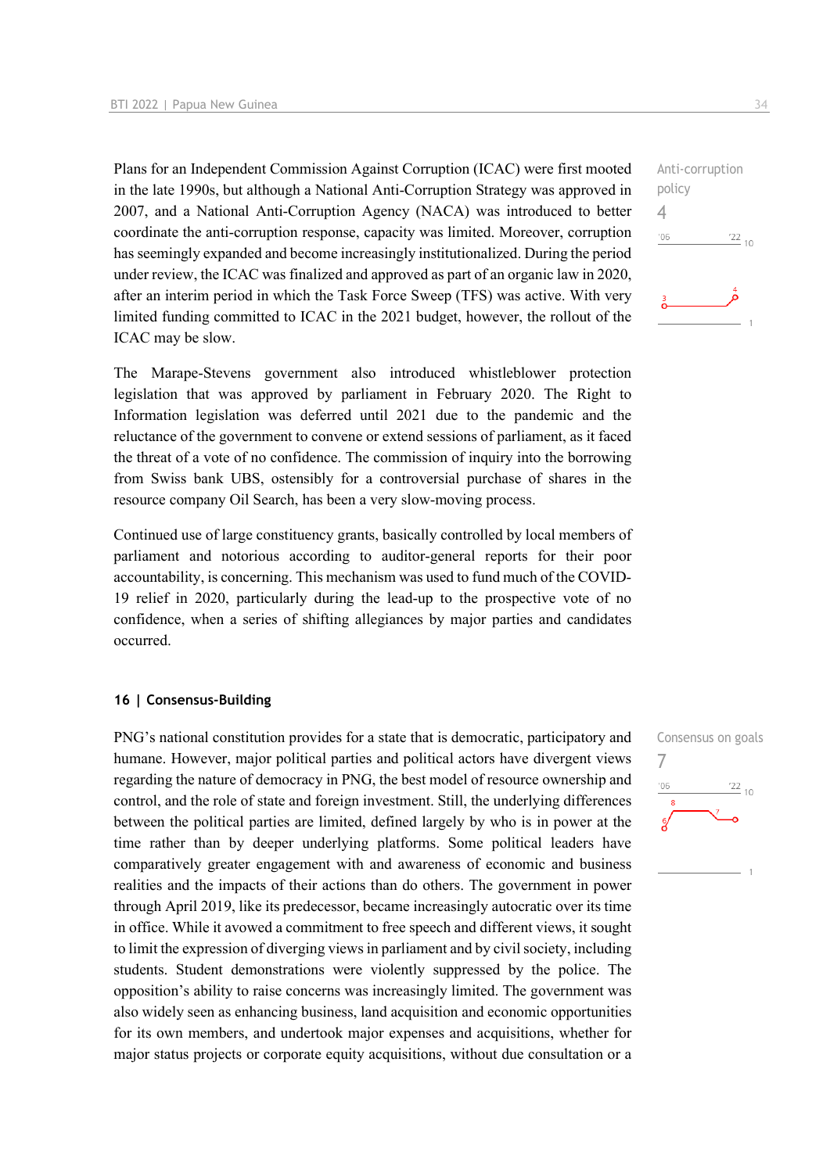Plans for an Independent Commission Against Corruption (ICAC) were first mooted in the late 1990s, but although a National Anti-Corruption Strategy was approved in 2007, and a National Anti-Corruption Agency (NACA) was introduced to better coordinate the anti-corruption response, capacity was limited. Moreover, corruption has seemingly expanded and become increasingly institutionalized. During the period under review, the ICAC was finalized and approved as part of an organic law in 2020, after an interim period in which the Task Force Sweep (TFS) was active. With very limited funding committed to ICAC in the 2021 budget, however, the rollout of the ICAC may be slow.

The Marape-Stevens government also introduced whistleblower protection legislation that was approved by parliament in February 2020. The Right to Information legislation was deferred until 2021 due to the pandemic and the reluctance of the government to convene or extend sessions of parliament, as it faced the threat of a vote of no confidence. The commission of inquiry into the borrowing from Swiss bank UBS, ostensibly for a controversial purchase of shares in the resource company Oil Search, has been a very slow-moving process.

Continued use of large constituency grants, basically controlled by local members of parliament and notorious according to auditor-general reports for their poor accountability, is concerning. This mechanism was used to fund much of the COVID-19 relief in 2020, particularly during the lead-up to the prospective vote of no confidence, when a series of shifting allegiances by major parties and candidates occurred.

#### **16 | Consensus-Building**

PNG's national constitution provides for a state that is democratic, participatory and humane. However, major political parties and political actors have divergent views regarding the nature of democracy in PNG, the best model of resource ownership and control, and the role of state and foreign investment. Still, the underlying differences between the political parties are limited, defined largely by who is in power at the time rather than by deeper underlying platforms. Some political leaders have comparatively greater engagement with and awareness of economic and business realities and the impacts of their actions than do others. The government in power through April 2019, like its predecessor, became increasingly autocratic over its time in office. While it avowed a commitment to free speech and different views, it sought to limit the expression of diverging views in parliament and by civil society, including students. Student demonstrations were violently suppressed by the police. The opposition's ability to raise concerns was increasingly limited. The government was also widely seen as enhancing business, land acquisition and economic opportunities for its own members, and undertook major expenses and acquisitions, whether for major status projects or corporate equity acquisitions, without due consultation or a Consensus on goals 7 $\frac{22}{10}$  $'06$ 

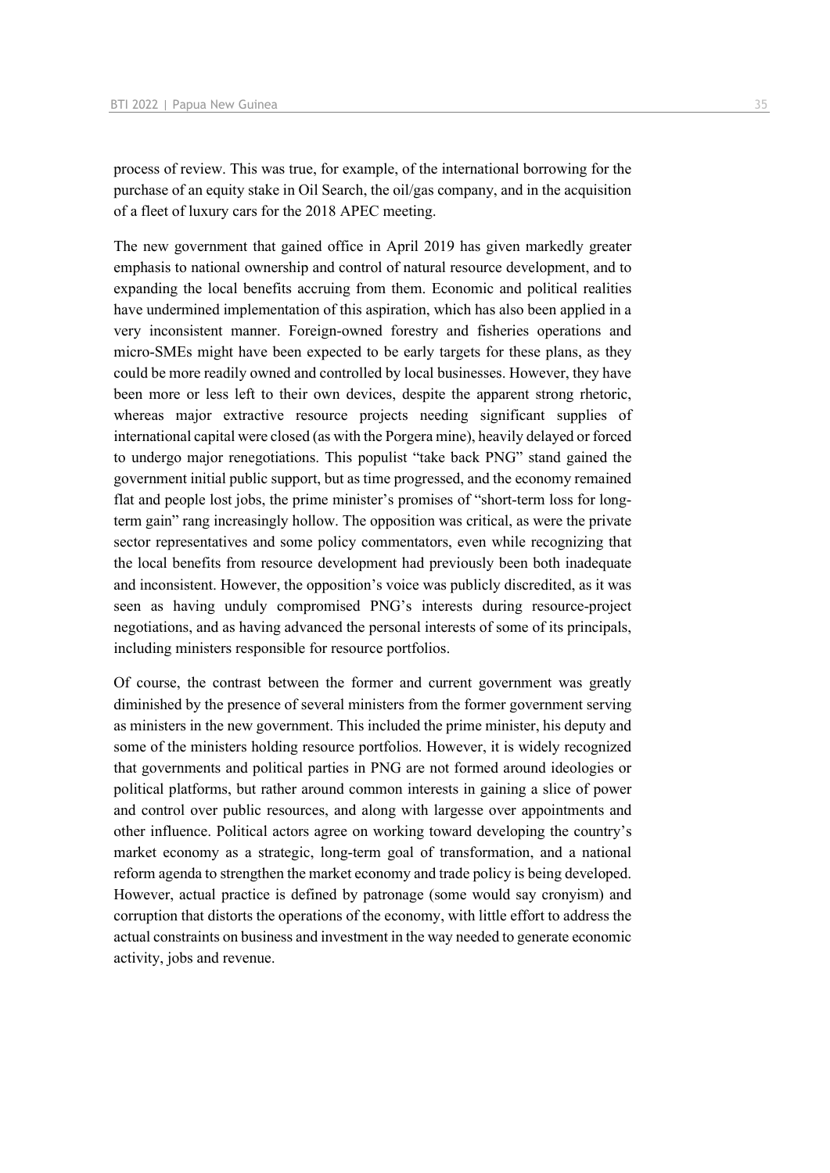process of review. This was true, for example, of the international borrowing for the purchase of an equity stake in Oil Search, the oil/gas company, and in the acquisition of a fleet of luxury cars for the 2018 APEC meeting.

The new government that gained office in April 2019 has given markedly greater emphasis to national ownership and control of natural resource development, and to expanding the local benefits accruing from them. Economic and political realities have undermined implementation of this aspiration, which has also been applied in a very inconsistent manner. Foreign-owned forestry and fisheries operations and micro-SMEs might have been expected to be early targets for these plans, as they could be more readily owned and controlled by local businesses. However, they have been more or less left to their own devices, despite the apparent strong rhetoric, whereas major extractive resource projects needing significant supplies of international capital were closed (as with the Porgera mine), heavily delayed or forced to undergo major renegotiations. This populist "take back PNG" stand gained the government initial public support, but as time progressed, and the economy remained flat and people lost jobs, the prime minister's promises of "short-term loss for longterm gain" rang increasingly hollow. The opposition was critical, as were the private sector representatives and some policy commentators, even while recognizing that the local benefits from resource development had previously been both inadequate and inconsistent. However, the opposition's voice was publicly discredited, as it was seen as having unduly compromised PNG's interests during resource-project negotiations, and as having advanced the personal interests of some of its principals, including ministers responsible for resource portfolios.

Of course, the contrast between the former and current government was greatly diminished by the presence of several ministers from the former government serving as ministers in the new government. This included the prime minister, his deputy and some of the ministers holding resource portfolios. However, it is widely recognized that governments and political parties in PNG are not formed around ideologies or political platforms, but rather around common interests in gaining a slice of power and control over public resources, and along with largesse over appointments and other influence. Political actors agree on working toward developing the country's market economy as a strategic, long-term goal of transformation, and a national reform agenda to strengthen the market economy and trade policy is being developed. However, actual practice is defined by patronage (some would say cronyism) and corruption that distorts the operations of the economy, with little effort to address the actual constraints on business and investment in the way needed to generate economic activity, jobs and revenue.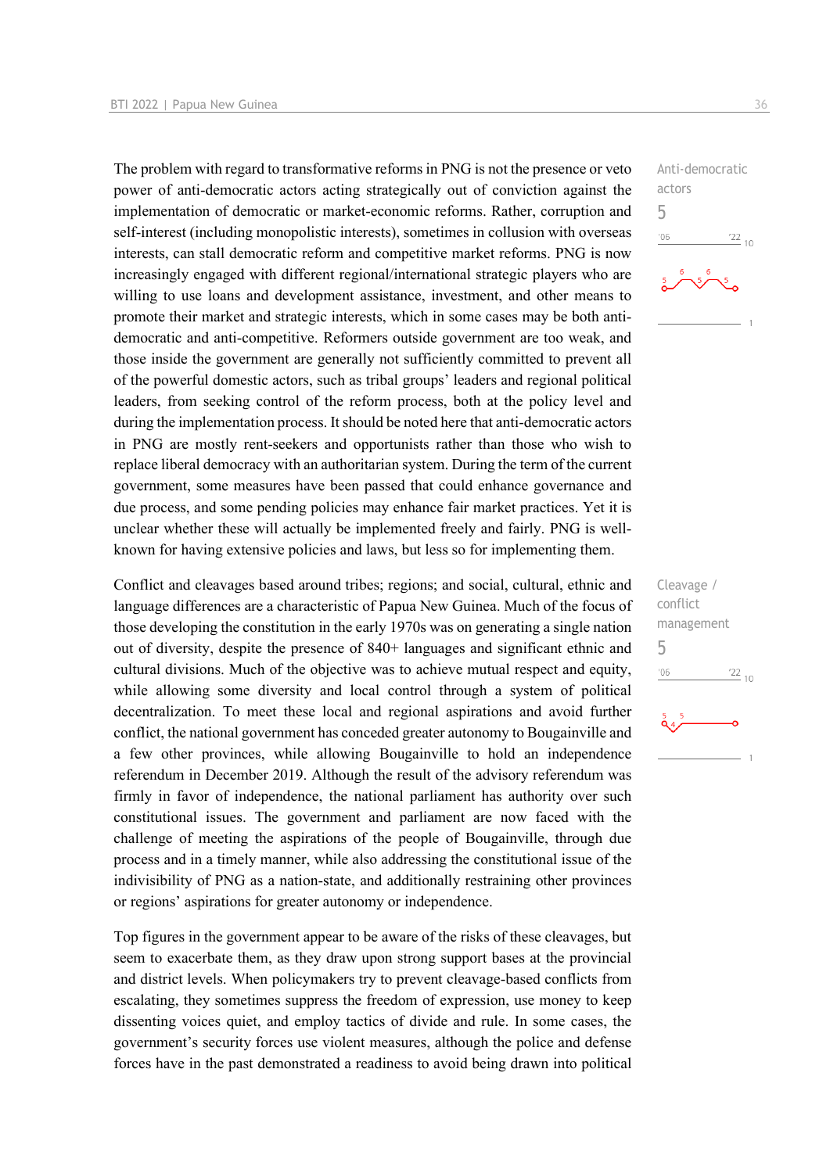The problem with regard to transformative reforms in PNG is not the presence or veto power of anti-democratic actors acting strategically out of conviction against the implementation of democratic or market-economic reforms. Rather, corruption and self-interest (including monopolistic interests), sometimes in collusion with overseas interests, can stall democratic reform and competitive market reforms. PNG is now increasingly engaged with different regional/international strategic players who are willing to use loans and development assistance, investment, and other means to promote their market and strategic interests, which in some cases may be both antidemocratic and anti-competitive. Reformers outside government are too weak, and those inside the government are generally not sufficiently committed to prevent all of the powerful domestic actors, such as tribal groups' leaders and regional political leaders, from seeking control of the reform process, both at the policy level and during the implementation process. It should be noted here that anti-democratic actors in PNG are mostly rent-seekers and opportunists rather than those who wish to replace liberal democracy with an authoritarian system. During the term of the current government, some measures have been passed that could enhance governance and due process, and some pending policies may enhance fair market practices. Yet it is unclear whether these will actually be implemented freely and fairly. PNG is wellknown for having extensive policies and laws, but less so for implementing them.

Conflict and cleavages based around tribes; regions; and social, cultural, ethnic and language differences are a characteristic of Papua New Guinea. Much of the focus of those developing the constitution in the early 1970s was on generating a single nation out of diversity, despite the presence of 840+ languages and significant ethnic and cultural divisions. Much of the objective was to achieve mutual respect and equity, while allowing some diversity and local control through a system of political decentralization. To meet these local and regional aspirations and avoid further conflict, the national government has conceded greater autonomy to Bougainville and a few other provinces, while allowing Bougainville to hold an independence referendum in December 2019. Although the result of the advisory referendum was firmly in favor of independence, the national parliament has authority over such constitutional issues. The government and parliament are now faced with the challenge of meeting the aspirations of the people of Bougainville, through due process and in a timely manner, while also addressing the constitutional issue of the indivisibility of PNG as a nation-state, and additionally restraining other provinces or regions' aspirations for greater autonomy or independence.

Top figures in the government appear to be aware of the risks of these cleavages, but seem to exacerbate them, as they draw upon strong support bases at the provincial and district levels. When policymakers try to prevent cleavage-based conflicts from escalating, they sometimes suppress the freedom of expression, use money to keep dissenting voices quiet, and employ tactics of divide and rule. In some cases, the government's security forces use violent measures, although the police and defense forces have in the past demonstrated a readiness to avoid being drawn into political

Anti-democratic actors 5  $-06$  $\frac{22}{10}$ 

Cleavage / conflict management 5 $^{\prime}06$  $\frac{22}{10}$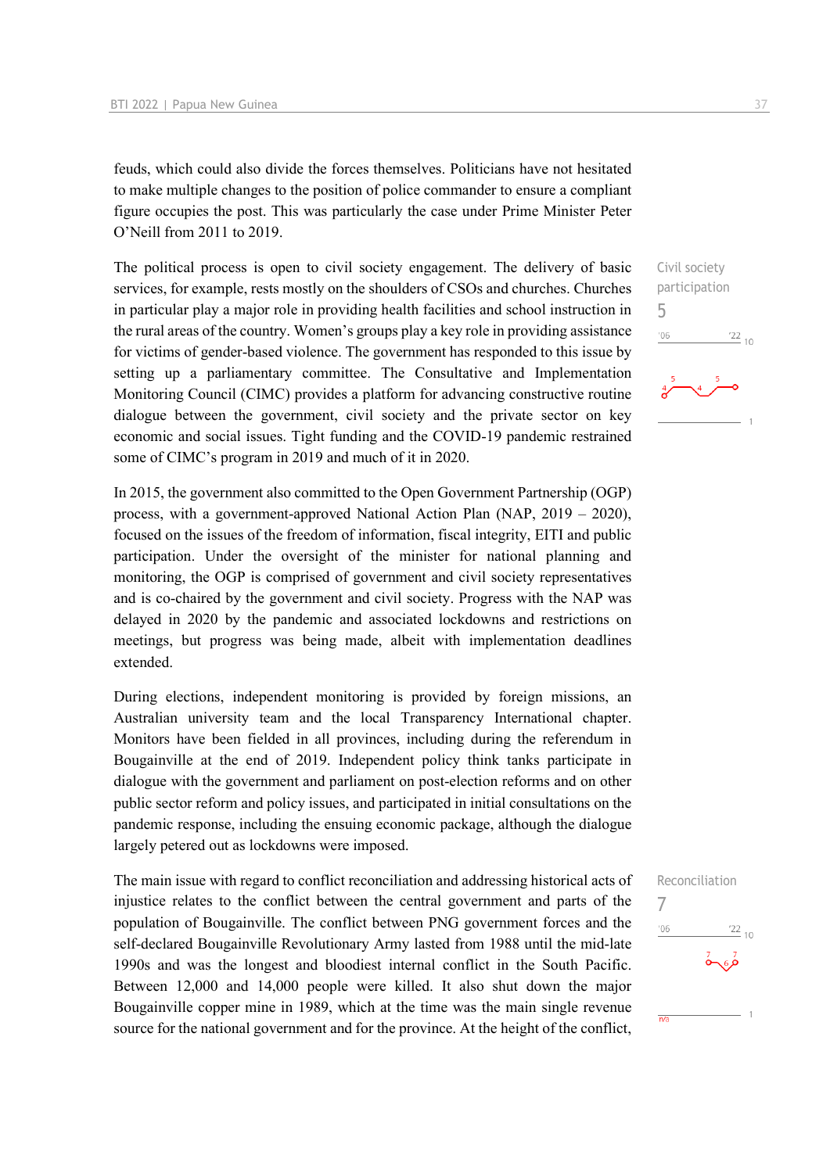feuds, which could also divide the forces themselves. Politicians have not hesitated to make multiple changes to the position of police commander to ensure a compliant figure occupies the post. This was particularly the case under Prime Minister Peter O'Neill from 2011 to 2019.

The political process is open to civil society engagement. The delivery of basic services, for example, rests mostly on the shoulders of CSOs and churches. Churches in particular play a major role in providing health facilities and school instruction in the rural areas of the country. Women's groups play a key role in providing assistance for victims of gender-based violence. The government has responded to this issue by setting up a parliamentary committee. The Consultative and Implementation Monitoring Council (CIMC) provides a platform for advancing constructive routine dialogue between the government, civil society and the private sector on key economic and social issues. Tight funding and the COVID-19 pandemic restrained some of CIMC's program in 2019 and much of it in 2020.

In 2015, the government also committed to the Open Government Partnership (OGP) process, with a government-approved National Action Plan (NAP, 2019 – 2020), focused on the issues of the freedom of information, fiscal integrity, EITI and public participation. Under the oversight of the minister for national planning and monitoring, the OGP is comprised of government and civil society representatives and is co-chaired by the government and civil society. Progress with the NAP was delayed in 2020 by the pandemic and associated lockdowns and restrictions on meetings, but progress was being made, albeit with implementation deadlines extended.

During elections, independent monitoring is provided by foreign missions, an Australian university team and the local Transparency International chapter. Monitors have been fielded in all provinces, including during the referendum in Bougainville at the end of 2019. Independent policy think tanks participate in dialogue with the government and parliament on post-election reforms and on other public sector reform and policy issues, and participated in initial consultations on the pandemic response, including the ensuing economic package, although the dialogue largely petered out as lockdowns were imposed.

The main issue with regard to conflict reconciliation and addressing historical acts of injustice relates to the conflict between the central government and parts of the population of Bougainville. The conflict between PNG government forces and the self-declared Bougainville Revolutionary Army lasted from 1988 until the mid-late 1990s and was the longest and bloodiest internal conflict in the South Pacific. Between 12,000 and 14,000 people were killed. It also shut down the major Bougainville copper mine in 1989, which at the time was the main single revenue source for the national government and for the province. At the height of the conflict,



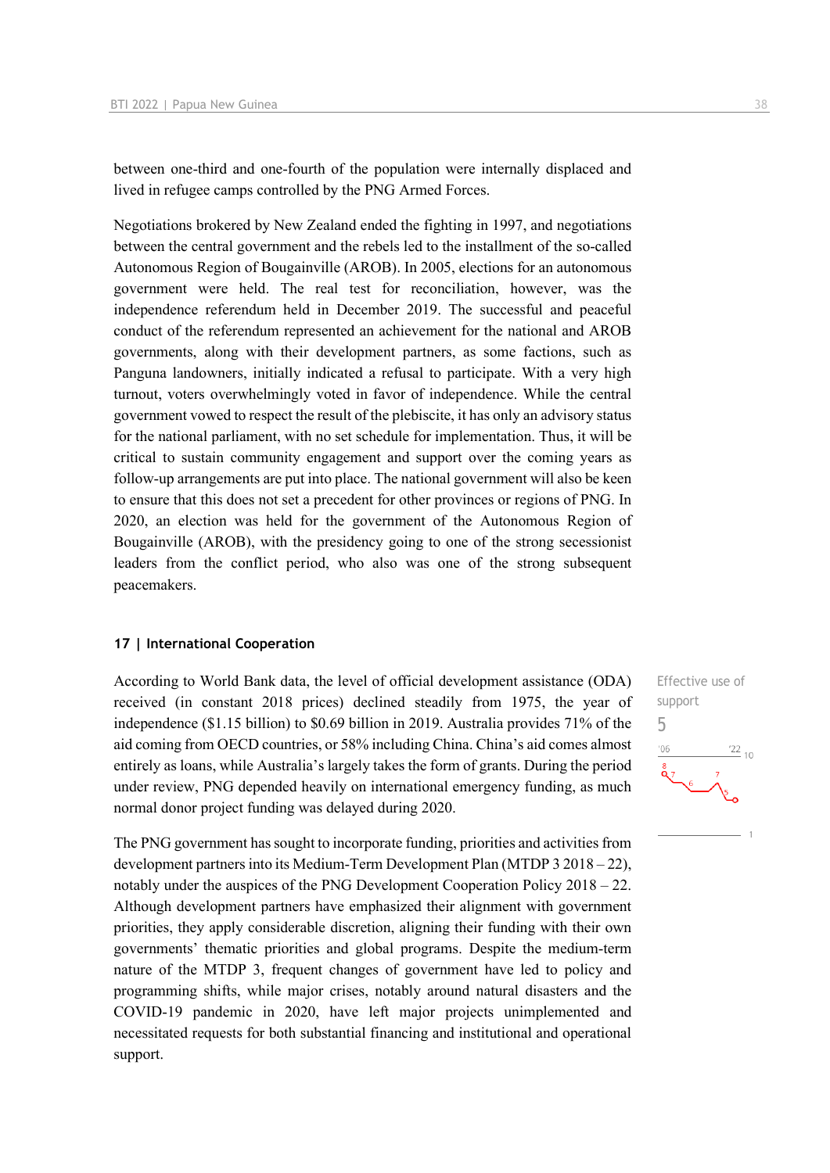between one-third and one-fourth of the population were internally displaced and lived in refugee camps controlled by the PNG Armed Forces.

Negotiations brokered by New Zealand ended the fighting in 1997, and negotiations between the central government and the rebels led to the installment of the so-called Autonomous Region of Bougainville (AROB). In 2005, elections for an autonomous government were held. The real test for reconciliation, however, was the independence referendum held in December 2019. The successful and peaceful conduct of the referendum represented an achievement for the national and AROB governments, along with their development partners, as some factions, such as Panguna landowners, initially indicated a refusal to participate. With a very high turnout, voters overwhelmingly voted in favor of independence. While the central government vowed to respect the result of the plebiscite, it has only an advisory status for the national parliament, with no set schedule for implementation. Thus, it will be critical to sustain community engagement and support over the coming years as follow-up arrangements are put into place. The national government will also be keen to ensure that this does not set a precedent for other provinces or regions of PNG. In 2020, an election was held for the government of the Autonomous Region of Bougainville (AROB), with the presidency going to one of the strong secessionist leaders from the conflict period, who also was one of the strong subsequent peacemakers.

#### **17 | International Cooperation**

According to World Bank data, the level of official development assistance (ODA) received (in constant 2018 prices) declined steadily from 1975, the year of independence (\$1.15 billion) to \$0.69 billion in 2019. Australia provides 71% of the aid coming from OECD countries, or 58% including China. China's aid comes almost entirely as loans, while Australia's largely takes the form of grants. During the period under review, PNG depended heavily on international emergency funding, as much normal donor project funding was delayed during 2020.

The PNG government has sought to incorporate funding, priorities and activities from development partners into its Medium-Term Development Plan (MTDP 3 2018 – 22), notably under the auspices of the PNG Development Cooperation Policy 2018 – 22. Although development partners have emphasized their alignment with government priorities, they apply considerable discretion, aligning their funding with their own governments' thematic priorities and global programs. Despite the medium-term nature of the MTDP 3, frequent changes of government have led to policy and programming shifts, while major crises, notably around natural disasters and the COVID-19 pandemic in 2020, have left major projects unimplemented and necessitated requests for both substantial financing and institutional and operational support.

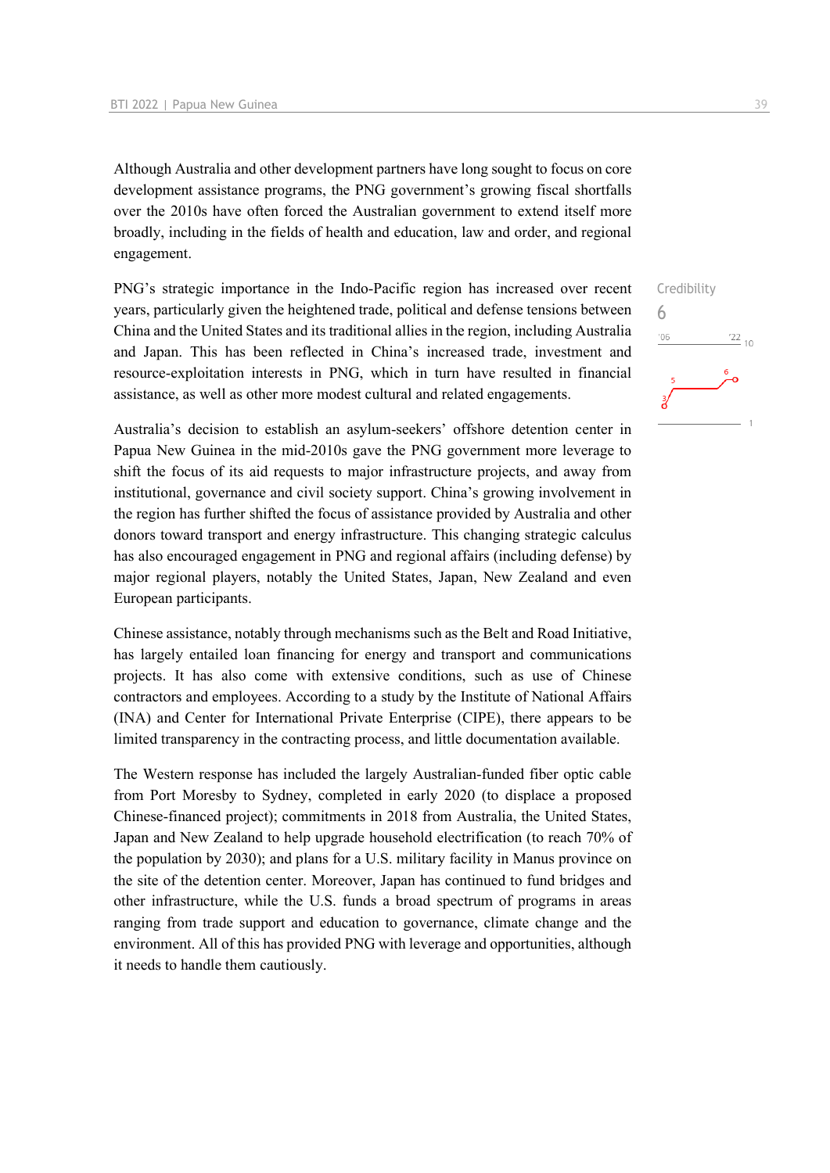Although Australia and other development partners have long sought to focus on core development assistance programs, the PNG government's growing fiscal shortfalls over the 2010s have often forced the Australian government to extend itself more broadly, including in the fields of health and education, law and order, and regional engagement.

PNG's strategic importance in the Indo-Pacific region has increased over recent years, particularly given the heightened trade, political and defense tensions between China and the United States and its traditional allies in the region, including Australia and Japan. This has been reflected in China's increased trade, investment and resource-exploitation interests in PNG, which in turn have resulted in financial assistance, as well as other more modest cultural and related engagements.

Australia's decision to establish an asylum-seekers' offshore detention center in Papua New Guinea in the mid-2010s gave the PNG government more leverage to shift the focus of its aid requests to major infrastructure projects, and away from institutional, governance and civil society support. China's growing involvement in the region has further shifted the focus of assistance provided by Australia and other donors toward transport and energy infrastructure. This changing strategic calculus has also encouraged engagement in PNG and regional affairs (including defense) by major regional players, notably the United States, Japan, New Zealand and even European participants.

Chinese assistance, notably through mechanisms such as the Belt and Road Initiative, has largely entailed loan financing for energy and transport and communications projects. It has also come with extensive conditions, such as use of Chinese contractors and employees. According to a study by the Institute of National Affairs (INA) and Center for International Private Enterprise (CIPE), there appears to be limited transparency in the contracting process, and little documentation available.

The Western response has included the largely Australian-funded fiber optic cable from Port Moresby to Sydney, completed in early 2020 (to displace a proposed Chinese-financed project); commitments in 2018 from Australia, the United States, Japan and New Zealand to help upgrade household electrification (to reach 70% of the population by 2030); and plans for a U.S. military facility in Manus province on the site of the detention center. Moreover, Japan has continued to fund bridges and other infrastructure, while the U.S. funds a broad spectrum of programs in areas ranging from trade support and education to governance, climate change and the environment. All of this has provided PNG with leverage and opportunities, although it needs to handle them cautiously.

## Credibility 6 $-06$  $\frac{22}{10}$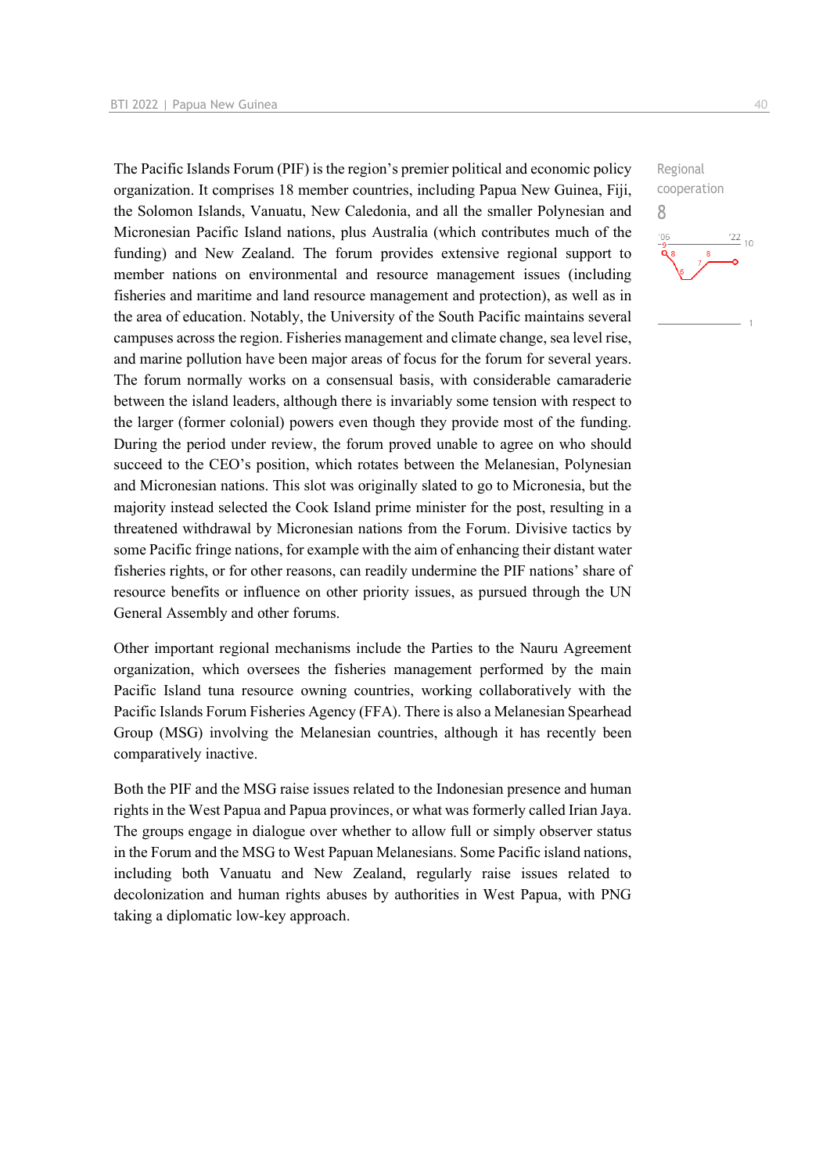The Pacific Islands Forum (PIF) is the region's premier political and economic policy organization. It comprises 18 member countries, including Papua New Guinea, Fiji, the Solomon Islands, Vanuatu, New Caledonia, and all the smaller Polynesian and Micronesian Pacific Island nations, plus Australia (which contributes much of the funding) and New Zealand. The forum provides extensive regional support to member nations on environmental and resource management issues (including fisheries and maritime and land resource management and protection), as well as in the area of education. Notably, the University of the South Pacific maintains several campuses across the region. Fisheries management and climate change, sea level rise, and marine pollution have been major areas of focus for the forum for several years. The forum normally works on a consensual basis, with considerable camaraderie between the island leaders, although there is invariably some tension with respect to the larger (former colonial) powers even though they provide most of the funding. During the period under review, the forum proved unable to agree on who should succeed to the CEO's position, which rotates between the Melanesian, Polynesian and Micronesian nations. This slot was originally slated to go to Micronesia, but the majority instead selected the Cook Island prime minister for the post, resulting in a threatened withdrawal by Micronesian nations from the Forum. Divisive tactics by some Pacific fringe nations, for example with the aim of enhancing their distant water fisheries rights, or for other reasons, can readily undermine the PIF nations' share of resource benefits or influence on other priority issues, as pursued through the UN General Assembly and other forums.

Other important regional mechanisms include the Parties to the Nauru Agreement organization, which oversees the fisheries management performed by the main Pacific Island tuna resource owning countries, working collaboratively with the Pacific Islands Forum Fisheries Agency (FFA). There is also a Melanesian Spearhead Group (MSG) involving the Melanesian countries, although it has recently been comparatively inactive.

Both the PIF and the MSG raise issues related to the Indonesian presence and human rights in the West Papua and Papua provinces, or what was formerly called Irian Jaya. The groups engage in dialogue over whether to allow full or simply observer status in the Forum and the MSG to West Papuan Melanesians. Some Pacific island nations, including both Vanuatu and New Zealand, regularly raise issues related to decolonization and human rights abuses by authorities in West Papua, with PNG taking a diplomatic low-key approach.